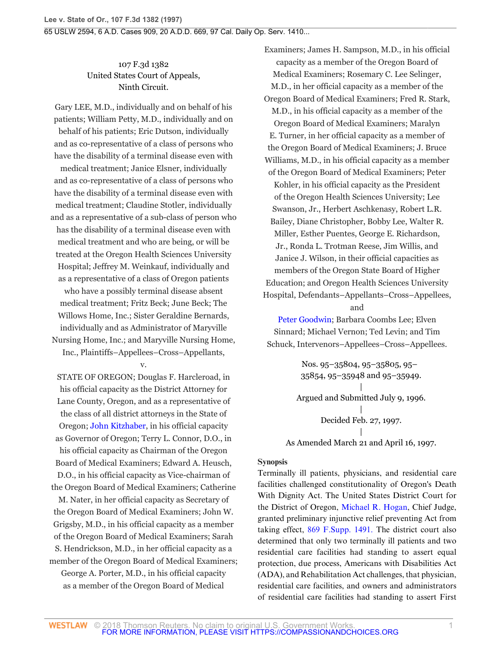# 107 F.3d 1382 United States Court of Appeals, Ninth Circuit.

Gary LEE, M.D., individually and on behalf of his patients; William Petty, M.D., individually and on behalf of his patients; Eric Dutson, individually and as co-representative of a class of persons who have the disability of a terminal disease even with medical treatment; Janice Elsner, individually and as co-representative of a class of persons who have the disability of a terminal disease even with medical treatment; Claudine Stotler, individually and as a representative of a sub-class of person who has the disability of a terminal disease even with medical treatment and who are being, or will be treated at the Oregon Health Sciences University Hospital; Jeffrey M. Weinkauf, individually and as a representative of a class of Oregon patients who have a possibly terminal disease absent medical treatment; Fritz Beck; June Beck; The Willows Home, Inc.; Sister Geraldine Bernards, individually and as Administrator of Maryville Nursing Home, Inc.; and Maryville Nursing Home, Inc., Plaintiffs–Appellees–Cross–Appellants,

v.

STATE OF OREGON; Douglas F. Harcleroad, in his official capacity as the District Attorney for Lane County, Oregon, and as a representative of the class of all district attorneys in the State of Oregon; [John Kitzhaber](http://www.westlaw.com/Search/Results.html?query=advanced%3a+OAID(5039284864)&saveJuris=False&contentType=BUSINESS-INVESTIGATOR&startIndex=1&contextData=(sc.Default)&categoryPageUrl=Home%2fCompanyInvestigator&originationContext=document&vr=3.0&rs=cblt1.0&transitionType=DocumentItem), in his official capacity as Governor of Oregon; Terry L. Connor, D.O., in his official capacity as Chairman of the Oregon Board of Medical Examiners; Edward A. Heusch, D.O., in his official capacity as Vice-chairman of the Oregon Board of Medical Examiners; Catherine

M. Nater, in her official capacity as Secretary of the Oregon Board of Medical Examiners; John W. Grigsby, M.D., in his official capacity as a member of the Oregon Board of Medical Examiners; Sarah S. Hendrickson, M.D., in her official capacity as a member of the Oregon Board of Medical Examiners; George A. Porter, M.D., in his official capacity as a member of the Oregon Board of Medical

Examiners; James H. Sampson, M.D., in his official capacity as a member of the Oregon Board of Medical Examiners; Rosemary C. Lee Selinger, M.D., in her official capacity as a member of the Oregon Board of Medical Examiners; Fred R. Stark, M.D., in his official capacity as a member of the Oregon Board of Medical Examiners; Maralyn E. Turner, in her official capacity as a member of the Oregon Board of Medical Examiners; J. Bruce Williams, M.D., in his official capacity as a member of the Oregon Board of Medical Examiners; Peter Kohler, in his official capacity as the President of the Oregon Health Sciences University; Lee Swanson, Jr., Herbert Aschkenasy, Robert L.R. Bailey, Diane Christopher, Bobby Lee, Walter R. Miller, Esther Puentes, George E. Richardson, Jr., Ronda L. Trotman Reese, Jim Willis, and Janice J. Wilson, in their official capacities as members of the Oregon State Board of Higher Education; and Oregon Health Sciences University Hospital, Defendants–Appellants–Cross–Appellees, and

[Peter Goodwin](http://www.westlaw.com/Search/Results.html?query=advanced%3a+OAID(5025202162)&saveJuris=False&contentType=BUSINESS-INVESTIGATOR&startIndex=1&contextData=(sc.Default)&categoryPageUrl=Home%2fCompanyInvestigator&originationContext=document&vr=3.0&rs=cblt1.0&transitionType=DocumentItem); Barbara Coombs Lee; Elven Sinnard; Michael Vernon; Ted Levin; and Tim Schuck, Intervenors–Appellees–Cross–Appellees.

> Nos. 95–35804, 95–35805, 95– 35854, 95–35948 and 95–35949. | Argued and Submitted July 9, 1996. | Decided Feb. 27, 1997. | As Amended March 21 and April 16, 1997.

**Synopsis**

Terminally ill patients, physicians, and residential care facilities challenged constitutionality of Oregon's Death With Dignity Act. The United States District Court for the District of Oregon, [Michael R. Hogan](http://www.westlaw.com/Link/Document/FullText?findType=h&pubNum=176284&cite=0207970001&originatingDoc=I76af26ec941311d9bdd1cfdd544ca3a4&refType=RQ&originationContext=document&vr=3.0&rs=cblt1.0&transitionType=DocumentItem&contextData=(sc.Search)), Chief Judge, granted preliminary injunctive relief preventing Act from taking effect, [869 F.Supp. 1491.](http://www.westlaw.com/Link/Document/FullText?findType=Y&serNum=1995025491&pubNum=345&originatingDoc=I76af26ec941311d9bdd1cfdd544ca3a4&refType=RP&originationContext=document&vr=3.0&rs=cblt1.0&transitionType=DocumentItem&contextData=(sc.Search)) The district court also determined that only two terminally ill patients and two residential care facilities had standing to assert equal protection, due process, Americans with Disabilities Act (ADA), and Rehabilitation Act challenges, that physician, residential care facilities, and owners and administrators of residential care facilities had standing to assert First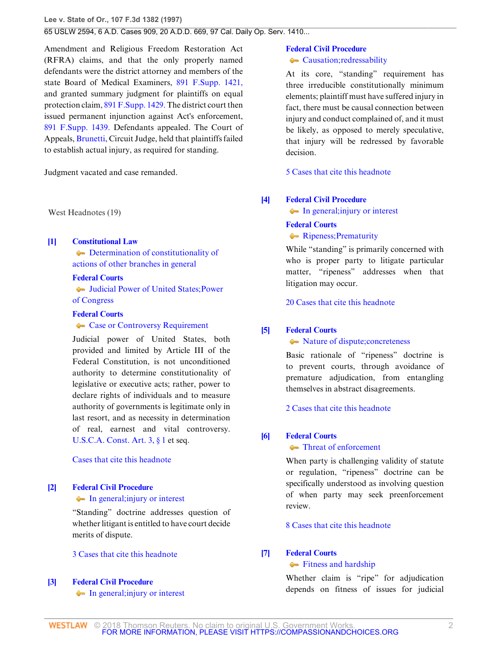**Lee v. State of Or., 107 F.3d 1382 (1997)**

## 65 USLW 2594, 6 A.D. Cases 909, 20 A.D.D. 669, 97 Cal. Daily Op. Serv. 1410...

Amendment and Religious Freedom Restoration Act (RFRA) claims, and that the only properly named defendants were the district attorney and members of the state Board of Medical Examiners, [891 F.Supp. 1421,](http://www.westlaw.com/Link/Document/FullText?findType=Y&serNum=1995164681&pubNum=345&originatingDoc=I76af26ec941311d9bdd1cfdd544ca3a4&refType=RP&originationContext=document&vr=3.0&rs=cblt1.0&transitionType=DocumentItem&contextData=(sc.Search)) and granted summary judgment for plaintiffs on equal protection claim, [891 F.Supp. 1429.](http://www.westlaw.com/Link/Document/FullText?findType=Y&serNum=1995164683&pubNum=345&originatingDoc=I76af26ec941311d9bdd1cfdd544ca3a4&refType=RP&originationContext=document&vr=3.0&rs=cblt1.0&transitionType=DocumentItem&contextData=(sc.Search)) The district court then issued permanent injunction against Act's enforcement, [891 F.Supp. 1439.](http://www.westlaw.com/Link/Document/FullText?findType=Y&serNum=1995164684&pubNum=345&originatingDoc=I76af26ec941311d9bdd1cfdd544ca3a4&refType=RP&originationContext=document&vr=3.0&rs=cblt1.0&transitionType=DocumentItem&contextData=(sc.Search)) Defendants appealed. The Court of Appeals, [Brunetti,](http://www.westlaw.com/Link/Document/FullText?findType=h&pubNum=176284&cite=0199854201&originatingDoc=I76af26ec941311d9bdd1cfdd544ca3a4&refType=RQ&originationContext=document&vr=3.0&rs=cblt1.0&transitionType=DocumentItem&contextData=(sc.Search)) Circuit Judge, held that plaintiffs failed to establish actual injury, as required for standing.

Judgment vacated and case remanded.

West Headnotes (19)

#### <span id="page-1-0"></span>**[\[1\]](#page-5-0) [Constitutional Law](http://www.westlaw.com/Browse/Home/KeyNumber/92/View.html?docGuid=I76af26ec941311d9bdd1cfdd544ca3a4&originationContext=document&vr=3.0&rs=cblt1.0&transitionType=DocumentItem&contextData=(sc.Search))**

 $\blacktriangleright$  [Determination of constitutionality of](http://www.westlaw.com/Browse/Home/KeyNumber/92k2453/View.html?docGuid=I76af26ec941311d9bdd1cfdd544ca3a4&originationContext=document&vr=3.0&rs=cblt1.0&transitionType=DocumentItem&contextData=(sc.Search)) [actions of other branches in general](http://www.westlaw.com/Browse/Home/KeyNumber/92k2453/View.html?docGuid=I76af26ec941311d9bdd1cfdd544ca3a4&originationContext=document&vr=3.0&rs=cblt1.0&transitionType=DocumentItem&contextData=(sc.Search))

### **[Federal Courts](http://www.westlaw.com/Browse/Home/KeyNumber/170B/View.html?docGuid=I76af26ec941311d9bdd1cfdd544ca3a4&originationContext=document&vr=3.0&rs=cblt1.0&transitionType=DocumentItem&contextData=(sc.Search))**

[Judicial Power of United States; Power](http://www.westlaw.com/Browse/Home/KeyNumber/170Bk2012/View.html?docGuid=I76af26ec941311d9bdd1cfdd544ca3a4&originationContext=document&vr=3.0&rs=cblt1.0&transitionType=DocumentItem&contextData=(sc.Search)) [of Congress](http://www.westlaw.com/Browse/Home/KeyNumber/170Bk2012/View.html?docGuid=I76af26ec941311d9bdd1cfdd544ca3a4&originationContext=document&vr=3.0&rs=cblt1.0&transitionType=DocumentItem&contextData=(sc.Search))

#### **[Federal Courts](http://www.westlaw.com/Browse/Home/KeyNumber/170B/View.html?docGuid=I76af26ec941311d9bdd1cfdd544ca3a4&originationContext=document&vr=3.0&rs=cblt1.0&transitionType=DocumentItem&contextData=(sc.Search))**

#### • [Case or Controversy Requirement](http://www.westlaw.com/Browse/Home/KeyNumber/170BIII/View.html?docGuid=I76af26ec941311d9bdd1cfdd544ca3a4&originationContext=document&vr=3.0&rs=cblt1.0&transitionType=DocumentItem&contextData=(sc.Search))

Judicial power of United States, both provided and limited by Article III of the Federal Constitution, is not unconditioned authority to determine constitutionality of legislative or executive acts; rather, power to declare rights of individuals and to measure authority of governments is legitimate only in last resort, and as necessity in determination of real, earnest and vital controversy. [U.S.C.A. Const. Art. 3, § 1](http://www.westlaw.com/Link/Document/FullText?findType=L&pubNum=1000546&cite=USCOARTIIIS1&originatingDoc=I76af26ec941311d9bdd1cfdd544ca3a4&refType=LQ&originationContext=document&vr=3.0&rs=cblt1.0&transitionType=DocumentItem&contextData=(sc.Search)) et seq.

## [Cases that cite this headnote](http://www.westlaw.com/Link/RelatedInformation/DocHeadnoteLink?docGuid=I76af26ec941311d9bdd1cfdd544ca3a4&headnoteId=199705941100120140318035542&originationContext=document&vr=3.0&rs=cblt1.0&transitionType=CitingReferences&contextData=(sc.Search))

# <span id="page-1-1"></span>**[\[2\]](#page-5-1) [Federal Civil Procedure](http://www.westlaw.com/Browse/Home/KeyNumber/170A/View.html?docGuid=I76af26ec941311d9bdd1cfdd544ca3a4&originationContext=document&vr=3.0&rs=cblt1.0&transitionType=DocumentItem&contextData=(sc.Search))**

## • [In general; injury or interest](http://www.westlaw.com/Browse/Home/KeyNumber/170Ak103.2/View.html?docGuid=I76af26ec941311d9bdd1cfdd544ca3a4&originationContext=document&vr=3.0&rs=cblt1.0&transitionType=DocumentItem&contextData=(sc.Search))

"Standing" doctrine addresses question of whether litigant is entitled to have court decide merits of dispute.

### [3 Cases that cite this headnote](http://www.westlaw.com/Link/RelatedInformation/DocHeadnoteLink?docGuid=I76af26ec941311d9bdd1cfdd544ca3a4&headnoteId=199705941100220140318035542&originationContext=document&vr=3.0&rs=cblt1.0&transitionType=CitingReferences&contextData=(sc.Search))

### <span id="page-1-2"></span>**[\[3\]](#page-5-2) [Federal Civil Procedure](http://www.westlaw.com/Browse/Home/KeyNumber/170A/View.html?docGuid=I76af26ec941311d9bdd1cfdd544ca3a4&originationContext=document&vr=3.0&rs=cblt1.0&transitionType=DocumentItem&contextData=(sc.Search))**

• [In general; injury or interest](http://www.westlaw.com/Browse/Home/KeyNumber/170Ak103.2/View.html?docGuid=I76af26ec941311d9bdd1cfdd544ca3a4&originationContext=document&vr=3.0&rs=cblt1.0&transitionType=DocumentItem&contextData=(sc.Search))

# **[Federal Civil Procedure](http://www.westlaw.com/Browse/Home/KeyNumber/170A/View.html?docGuid=I76af26ec941311d9bdd1cfdd544ca3a4&originationContext=document&vr=3.0&rs=cblt1.0&transitionType=DocumentItem&contextData=(sc.Search))**

**[Causation; redressability](http://www.westlaw.com/Browse/Home/KeyNumber/170Ak103.3/View.html?docGuid=I76af26ec941311d9bdd1cfdd544ca3a4&originationContext=document&vr=3.0&rs=cblt1.0&transitionType=DocumentItem&contextData=(sc.Search))** 

At its core, "standing" requirement has three irreducible constitutionally minimum elements; plaintiff must have suffered injury in fact, there must be causal connection between injury and conduct complained of, and it must be likely, as opposed to merely speculative, that injury will be redressed by favorable decision.

[5 Cases that cite this headnote](http://www.westlaw.com/Link/RelatedInformation/DocHeadnoteLink?docGuid=I76af26ec941311d9bdd1cfdd544ca3a4&headnoteId=199705941100320140318035542&originationContext=document&vr=3.0&rs=cblt1.0&transitionType=CitingReferences&contextData=(sc.Search))

#### <span id="page-1-3"></span>**[\[4\]](#page-6-0) [Federal Civil Procedure](http://www.westlaw.com/Browse/Home/KeyNumber/170A/View.html?docGuid=I76af26ec941311d9bdd1cfdd544ca3a4&originationContext=document&vr=3.0&rs=cblt1.0&transitionType=DocumentItem&contextData=(sc.Search))**

• [In general; injury or interest](http://www.westlaw.com/Browse/Home/KeyNumber/170Ak103.2/View.html?docGuid=I76af26ec941311d9bdd1cfdd544ca3a4&originationContext=document&vr=3.0&rs=cblt1.0&transitionType=DocumentItem&contextData=(sc.Search))

### **[Federal Courts](http://www.westlaw.com/Browse/Home/KeyNumber/170B/View.html?docGuid=I76af26ec941311d9bdd1cfdd544ca3a4&originationContext=document&vr=3.0&rs=cblt1.0&transitionType=DocumentItem&contextData=(sc.Search))**

• [Ripeness; Prematurity](http://www.westlaw.com/Browse/Home/KeyNumber/170Bk2118/View.html?docGuid=I76af26ec941311d9bdd1cfdd544ca3a4&originationContext=document&vr=3.0&rs=cblt1.0&transitionType=DocumentItem&contextData=(sc.Search))

While "standing" is primarily concerned with who is proper party to litigate particular matter, "ripeness" addresses when that litigation may occur.

[20 Cases that cite this headnote](http://www.westlaw.com/Link/RelatedInformation/DocHeadnoteLink?docGuid=I76af26ec941311d9bdd1cfdd544ca3a4&headnoteId=199705941100420140318035542&originationContext=document&vr=3.0&rs=cblt1.0&transitionType=CitingReferences&contextData=(sc.Search))

### <span id="page-1-4"></span>**[\[5\]](#page-6-1) [Federal Courts](http://www.westlaw.com/Browse/Home/KeyNumber/170B/View.html?docGuid=I76af26ec941311d9bdd1cfdd544ca3a4&originationContext=document&vr=3.0&rs=cblt1.0&transitionType=DocumentItem&contextData=(sc.Search))**

### $\blacklozenge$  [Nature of dispute; concreteness](http://www.westlaw.com/Browse/Home/KeyNumber/170Bk2121/View.html?docGuid=I76af26ec941311d9bdd1cfdd544ca3a4&originationContext=document&vr=3.0&rs=cblt1.0&transitionType=DocumentItem&contextData=(sc.Search))

Basic rationale of "ripeness" doctrine is to prevent courts, through avoidance of premature adjudication, from entangling themselves in abstract disagreements.

[2 Cases that cite this headnote](http://www.westlaw.com/Link/RelatedInformation/DocHeadnoteLink?docGuid=I76af26ec941311d9bdd1cfdd544ca3a4&headnoteId=199705941100520140318035542&originationContext=document&vr=3.0&rs=cblt1.0&transitionType=CitingReferences&contextData=(sc.Search))

### <span id="page-1-5"></span>**[\[6\]](#page-6-2) [Federal Courts](http://www.westlaw.com/Browse/Home/KeyNumber/170B/View.html?docGuid=I76af26ec941311d9bdd1cfdd544ca3a4&originationContext=document&vr=3.0&rs=cblt1.0&transitionType=DocumentItem&contextData=(sc.Search))**

#### • [Threat of enforcement](http://www.westlaw.com/Browse/Home/KeyNumber/170Bk2123/View.html?docGuid=I76af26ec941311d9bdd1cfdd544ca3a4&originationContext=document&vr=3.0&rs=cblt1.0&transitionType=DocumentItem&contextData=(sc.Search))

When party is challenging validity of statute or regulation, "ripeness" doctrine can be specifically understood as involving question of when party may seek preenforcement review.

[8 Cases that cite this headnote](http://www.westlaw.com/Link/RelatedInformation/DocHeadnoteLink?docGuid=I76af26ec941311d9bdd1cfdd544ca3a4&headnoteId=199705941100620140318035542&originationContext=document&vr=3.0&rs=cblt1.0&transitionType=CitingReferences&contextData=(sc.Search))

#### <span id="page-1-6"></span>**[\[7\]](#page-6-3) [Federal Courts](http://www.westlaw.com/Browse/Home/KeyNumber/170B/View.html?docGuid=I76af26ec941311d9bdd1cfdd544ca3a4&originationContext=document&vr=3.0&rs=cblt1.0&transitionType=DocumentItem&contextData=(sc.Search))**

### **[Fitness and hardship](http://www.westlaw.com/Browse/Home/KeyNumber/170Bk2120/View.html?docGuid=I76af26ec941311d9bdd1cfdd544ca3a4&originationContext=document&vr=3.0&rs=cblt1.0&transitionType=DocumentItem&contextData=(sc.Search))**

Whether claim is "ripe" for adjudication depends on fitness of issues for judicial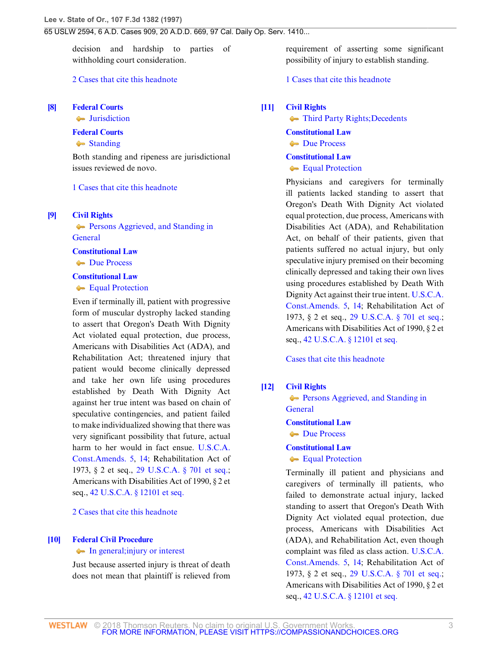decision and hardship to parties of withholding court consideration.

### [2 Cases that cite this headnote](http://www.westlaw.com/Link/RelatedInformation/DocHeadnoteLink?docGuid=I76af26ec941311d9bdd1cfdd544ca3a4&headnoteId=199705941100720140318035542&originationContext=document&vr=3.0&rs=cblt1.0&transitionType=CitingReferences&contextData=(sc.Search))

# <span id="page-2-0"></span>**[\[8\]](#page-6-4) [Federal Courts](http://www.westlaw.com/Browse/Home/KeyNumber/170B/View.html?docGuid=I76af26ec941311d9bdd1cfdd544ca3a4&originationContext=document&vr=3.0&rs=cblt1.0&transitionType=DocumentItem&contextData=(sc.Search))**

**[Jurisdiction](http://www.westlaw.com/Browse/Home/KeyNumber/170Bk3581/View.html?docGuid=I76af26ec941311d9bdd1cfdd544ca3a4&originationContext=document&vr=3.0&rs=cblt1.0&transitionType=DocumentItem&contextData=(sc.Search))** 

#### **[Federal Courts](http://www.westlaw.com/Browse/Home/KeyNumber/170B/View.html?docGuid=I76af26ec941311d9bdd1cfdd544ca3a4&originationContext=document&vr=3.0&rs=cblt1.0&transitionType=DocumentItem&contextData=(sc.Search))**

[Standing](http://www.westlaw.com/Browse/Home/KeyNumber/170Bk3585(2)/View.html?docGuid=I76af26ec941311d9bdd1cfdd544ca3a4&originationContext=document&vr=3.0&rs=cblt1.0&transitionType=DocumentItem&contextData=(sc.Search))

Both standing and ripeness are jurisdictional issues reviewed de novo.

#### [1 Cases that cite this headnote](http://www.westlaw.com/Link/RelatedInformation/DocHeadnoteLink?docGuid=I76af26ec941311d9bdd1cfdd544ca3a4&headnoteId=199705941100820140318035542&originationContext=document&vr=3.0&rs=cblt1.0&transitionType=CitingReferences&contextData=(sc.Search))

<span id="page-2-1"></span>**[\[9\]](#page-6-5) [Civil Rights](http://www.westlaw.com/Browse/Home/KeyNumber/78/View.html?docGuid=I76af26ec941311d9bdd1cfdd544ca3a4&originationContext=document&vr=3.0&rs=cblt1.0&transitionType=DocumentItem&contextData=(sc.Search))**

**[Persons Aggrieved, and Standing in](http://www.westlaw.com/Browse/Home/KeyNumber/78k1331/View.html?docGuid=I76af26ec941311d9bdd1cfdd544ca3a4&originationContext=document&vr=3.0&rs=cblt1.0&transitionType=DocumentItem&contextData=(sc.Search)) [General](http://www.westlaw.com/Browse/Home/KeyNumber/78k1331/View.html?docGuid=I76af26ec941311d9bdd1cfdd544ca3a4&originationContext=document&vr=3.0&rs=cblt1.0&transitionType=DocumentItem&contextData=(sc.Search))** 

### **[Constitutional Law](http://www.westlaw.com/Browse/Home/KeyNumber/92/View.html?docGuid=I76af26ec941311d9bdd1cfdd544ca3a4&originationContext=document&vr=3.0&rs=cblt1.0&transitionType=DocumentItem&contextData=(sc.Search))**

**[Due Process](http://www.westlaw.com/Browse/Home/KeyNumber/92VI(A)10/View.html?docGuid=I76af26ec941311d9bdd1cfdd544ca3a4&originationContext=document&vr=3.0&rs=cblt1.0&transitionType=DocumentItem&contextData=(sc.Search))** 

### **[Constitutional Law](http://www.westlaw.com/Browse/Home/KeyNumber/92/View.html?docGuid=I76af26ec941311d9bdd1cfdd544ca3a4&originationContext=document&vr=3.0&rs=cblt1.0&transitionType=DocumentItem&contextData=(sc.Search))**

**[Equal Protection](http://www.westlaw.com/Browse/Home/KeyNumber/92VI(A)11/View.html?docGuid=I76af26ec941311d9bdd1cfdd544ca3a4&originationContext=document&vr=3.0&rs=cblt1.0&transitionType=DocumentItem&contextData=(sc.Search))** 

Even if terminally ill, patient with progressive form of muscular dystrophy lacked standing to assert that Oregon's Death With Dignity Act violated equal protection, due process, Americans with Disabilities Act (ADA), and Rehabilitation Act; threatened injury that patient would become clinically depressed and take her own life using procedures established by Death With Dignity Act against her true intent was based on chain of speculative contingencies, and patient failed to make individualized showing that there was very significant possibility that future, actual harm to her would in fact ensue. [U.S.C.A.](http://www.westlaw.com/Link/Document/FullText?findType=L&pubNum=1000546&cite=USCOAMENDV&originatingDoc=I76af26ec941311d9bdd1cfdd544ca3a4&refType=LQ&originationContext=document&vr=3.0&rs=cblt1.0&transitionType=DocumentItem&contextData=(sc.Search)) [Const.Amends. 5,](http://www.westlaw.com/Link/Document/FullText?findType=L&pubNum=1000546&cite=USCOAMENDV&originatingDoc=I76af26ec941311d9bdd1cfdd544ca3a4&refType=LQ&originationContext=document&vr=3.0&rs=cblt1.0&transitionType=DocumentItem&contextData=(sc.Search)) [14](http://www.westlaw.com/Link/Document/FullText?findType=L&pubNum=1000546&cite=USCOAMENDXIV&originatingDoc=I76af26ec941311d9bdd1cfdd544ca3a4&refType=LQ&originationContext=document&vr=3.0&rs=cblt1.0&transitionType=DocumentItem&contextData=(sc.Search)); Rehabilitation Act of 1973, § 2 et seq., [29 U.S.C.A. § 701 et seq.;](http://www.westlaw.com/Link/Document/FullText?findType=L&pubNum=1000546&cite=29USCAS701&originatingDoc=I76af26ec941311d9bdd1cfdd544ca3a4&refType=LQ&originationContext=document&vr=3.0&rs=cblt1.0&transitionType=DocumentItem&contextData=(sc.Search)) Americans with Disabilities Act of 1990, § 2 et seq., [42 U.S.C.A. § 12101 et seq.](http://www.westlaw.com/Link/Document/FullText?findType=L&pubNum=1000546&cite=42USCAS12101&originatingDoc=I76af26ec941311d9bdd1cfdd544ca3a4&refType=LQ&originationContext=document&vr=3.0&rs=cblt1.0&transitionType=DocumentItem&contextData=(sc.Search))

[2 Cases that cite this headnote](http://www.westlaw.com/Link/RelatedInformation/DocHeadnoteLink?docGuid=I76af26ec941311d9bdd1cfdd544ca3a4&headnoteId=199705941100920140318035542&originationContext=document&vr=3.0&rs=cblt1.0&transitionType=CitingReferences&contextData=(sc.Search))

### <span id="page-2-2"></span>**[\[10\]](#page-7-0) [Federal Civil Procedure](http://www.westlaw.com/Browse/Home/KeyNumber/170A/View.html?docGuid=I76af26ec941311d9bdd1cfdd544ca3a4&originationContext=document&vr=3.0&rs=cblt1.0&transitionType=DocumentItem&contextData=(sc.Search))**

#### • [In general; injury or interest](http://www.westlaw.com/Browse/Home/KeyNumber/170Ak103.2/View.html?docGuid=I76af26ec941311d9bdd1cfdd544ca3a4&originationContext=document&vr=3.0&rs=cblt1.0&transitionType=DocumentItem&contextData=(sc.Search))

Just because asserted injury is threat of death does not mean that plaintiff is relieved from requirement of asserting some significant possibility of injury to establish standing.

## [1 Cases that cite this headnote](http://www.westlaw.com/Link/RelatedInformation/DocHeadnoteLink?docGuid=I76af26ec941311d9bdd1cfdd544ca3a4&headnoteId=199705941101020140318035542&originationContext=document&vr=3.0&rs=cblt1.0&transitionType=CitingReferences&contextData=(sc.Search))

#### <span id="page-2-3"></span>**[\[11\]](#page-8-0) [Civil Rights](http://www.westlaw.com/Browse/Home/KeyNumber/78/View.html?docGuid=I76af26ec941311d9bdd1cfdd544ca3a4&originationContext=document&vr=3.0&rs=cblt1.0&transitionType=DocumentItem&contextData=(sc.Search))**

**[Third Party Rights; Decedents](http://www.westlaw.com/Browse/Home/KeyNumber/78k1332/View.html?docGuid=I76af26ec941311d9bdd1cfdd544ca3a4&originationContext=document&vr=3.0&rs=cblt1.0&transitionType=DocumentItem&contextData=(sc.Search))** 

#### **[Constitutional Law](http://www.westlaw.com/Browse/Home/KeyNumber/92/View.html?docGuid=I76af26ec941311d9bdd1cfdd544ca3a4&originationContext=document&vr=3.0&rs=cblt1.0&transitionType=DocumentItem&contextData=(sc.Search))**

[Due Process](http://www.westlaw.com/Browse/Home/KeyNumber/92VI(A)10/View.html?docGuid=I76af26ec941311d9bdd1cfdd544ca3a4&originationContext=document&vr=3.0&rs=cblt1.0&transitionType=DocumentItem&contextData=(sc.Search))

### **[Constitutional Law](http://www.westlaw.com/Browse/Home/KeyNumber/92/View.html?docGuid=I76af26ec941311d9bdd1cfdd544ca3a4&originationContext=document&vr=3.0&rs=cblt1.0&transitionType=DocumentItem&contextData=(sc.Search))**

#### **[Equal Protection](http://www.westlaw.com/Browse/Home/KeyNumber/92VI(A)11/View.html?docGuid=I76af26ec941311d9bdd1cfdd544ca3a4&originationContext=document&vr=3.0&rs=cblt1.0&transitionType=DocumentItem&contextData=(sc.Search))**

Physicians and caregivers for terminally ill patients lacked standing to assert that Oregon's Death With Dignity Act violated equal protection, due process, Americans with Disabilities Act (ADA), and Rehabilitation Act, on behalf of their patients, given that patients suffered no actual injury, but only speculative injury premised on their becoming clinically depressed and taking their own lives using procedures established by Death With Dignity Act against their true intent. [U.S.C.A.](http://www.westlaw.com/Link/Document/FullText?findType=L&pubNum=1000546&cite=USCOAMENDV&originatingDoc=I76af26ec941311d9bdd1cfdd544ca3a4&refType=LQ&originationContext=document&vr=3.0&rs=cblt1.0&transitionType=DocumentItem&contextData=(sc.Search)) [Const.Amends. 5,](http://www.westlaw.com/Link/Document/FullText?findType=L&pubNum=1000546&cite=USCOAMENDV&originatingDoc=I76af26ec941311d9bdd1cfdd544ca3a4&refType=LQ&originationContext=document&vr=3.0&rs=cblt1.0&transitionType=DocumentItem&contextData=(sc.Search)) [14](http://www.westlaw.com/Link/Document/FullText?findType=L&pubNum=1000546&cite=USCOAMENDXIV&originatingDoc=I76af26ec941311d9bdd1cfdd544ca3a4&refType=LQ&originationContext=document&vr=3.0&rs=cblt1.0&transitionType=DocumentItem&contextData=(sc.Search)); Rehabilitation Act of 1973, § 2 et seq., [29 U.S.C.A. § 701 et seq.;](http://www.westlaw.com/Link/Document/FullText?findType=L&pubNum=1000546&cite=29USCAS701&originatingDoc=I76af26ec941311d9bdd1cfdd544ca3a4&refType=LQ&originationContext=document&vr=3.0&rs=cblt1.0&transitionType=DocumentItem&contextData=(sc.Search)) Americans with Disabilities Act of 1990, § 2 et seq., [42 U.S.C.A. § 12101 et seq.](http://www.westlaw.com/Link/Document/FullText?findType=L&pubNum=1000546&cite=42USCAS12101&originatingDoc=I76af26ec941311d9bdd1cfdd544ca3a4&refType=LQ&originationContext=document&vr=3.0&rs=cblt1.0&transitionType=DocumentItem&contextData=(sc.Search))

[Cases that cite this headnote](http://www.westlaw.com/Link/RelatedInformation/DocHeadnoteLink?docGuid=I76af26ec941311d9bdd1cfdd544ca3a4&headnoteId=199705941101120140318035542&originationContext=document&vr=3.0&rs=cblt1.0&transitionType=CitingReferences&contextData=(sc.Search))

#### <span id="page-2-4"></span>**[\[12\]](#page-8-1) [Civil Rights](http://www.westlaw.com/Browse/Home/KeyNumber/78/View.html?docGuid=I76af26ec941311d9bdd1cfdd544ca3a4&originationContext=document&vr=3.0&rs=cblt1.0&transitionType=DocumentItem&contextData=(sc.Search))**

**[Persons Aggrieved, and Standing in](http://www.westlaw.com/Browse/Home/KeyNumber/78k1331/View.html?docGuid=I76af26ec941311d9bdd1cfdd544ca3a4&originationContext=document&vr=3.0&rs=cblt1.0&transitionType=DocumentItem&contextData=(sc.Search)) [General](http://www.westlaw.com/Browse/Home/KeyNumber/78k1331/View.html?docGuid=I76af26ec941311d9bdd1cfdd544ca3a4&originationContext=document&vr=3.0&rs=cblt1.0&transitionType=DocumentItem&contextData=(sc.Search))** 

#### **[Constitutional Law](http://www.westlaw.com/Browse/Home/KeyNumber/92/View.html?docGuid=I76af26ec941311d9bdd1cfdd544ca3a4&originationContext=document&vr=3.0&rs=cblt1.0&transitionType=DocumentItem&contextData=(sc.Search))**

**[Due Process](http://www.westlaw.com/Browse/Home/KeyNumber/92VI(A)10/View.html?docGuid=I76af26ec941311d9bdd1cfdd544ca3a4&originationContext=document&vr=3.0&rs=cblt1.0&transitionType=DocumentItem&contextData=(sc.Search))** 

## **[Constitutional Law](http://www.westlaw.com/Browse/Home/KeyNumber/92/View.html?docGuid=I76af26ec941311d9bdd1cfdd544ca3a4&originationContext=document&vr=3.0&rs=cblt1.0&transitionType=DocumentItem&contextData=(sc.Search))**

**[Equal Protection](http://www.westlaw.com/Browse/Home/KeyNumber/92VI(A)11/View.html?docGuid=I76af26ec941311d9bdd1cfdd544ca3a4&originationContext=document&vr=3.0&rs=cblt1.0&transitionType=DocumentItem&contextData=(sc.Search))** 

Terminally ill patient and physicians and caregivers of terminally ill patients, who failed to demonstrate actual injury, lacked standing to assert that Oregon's Death With Dignity Act violated equal protection, due process, Americans with Disabilities Act (ADA), and Rehabilitation Act, even though complaint was filed as class action. [U.S.C.A.](http://www.westlaw.com/Link/Document/FullText?findType=L&pubNum=1000546&cite=USCOAMENDV&originatingDoc=I76af26ec941311d9bdd1cfdd544ca3a4&refType=LQ&originationContext=document&vr=3.0&rs=cblt1.0&transitionType=DocumentItem&contextData=(sc.Search)) [Const.Amends. 5,](http://www.westlaw.com/Link/Document/FullText?findType=L&pubNum=1000546&cite=USCOAMENDV&originatingDoc=I76af26ec941311d9bdd1cfdd544ca3a4&refType=LQ&originationContext=document&vr=3.0&rs=cblt1.0&transitionType=DocumentItem&contextData=(sc.Search)) [14](http://www.westlaw.com/Link/Document/FullText?findType=L&pubNum=1000546&cite=USCOAMENDXIV&originatingDoc=I76af26ec941311d9bdd1cfdd544ca3a4&refType=LQ&originationContext=document&vr=3.0&rs=cblt1.0&transitionType=DocumentItem&contextData=(sc.Search)); Rehabilitation Act of 1973, § 2 et seq., [29 U.S.C.A. § 701 et seq.;](http://www.westlaw.com/Link/Document/FullText?findType=L&pubNum=1000546&cite=29USCAS701&originatingDoc=I76af26ec941311d9bdd1cfdd544ca3a4&refType=LQ&originationContext=document&vr=3.0&rs=cblt1.0&transitionType=DocumentItem&contextData=(sc.Search)) Americans with Disabilities Act of 1990, § 2 et seq., [42 U.S.C.A. § 12101 et seq.](http://www.westlaw.com/Link/Document/FullText?findType=L&pubNum=1000546&cite=42USCAS12101&originatingDoc=I76af26ec941311d9bdd1cfdd544ca3a4&refType=LQ&originationContext=document&vr=3.0&rs=cblt1.0&transitionType=DocumentItem&contextData=(sc.Search))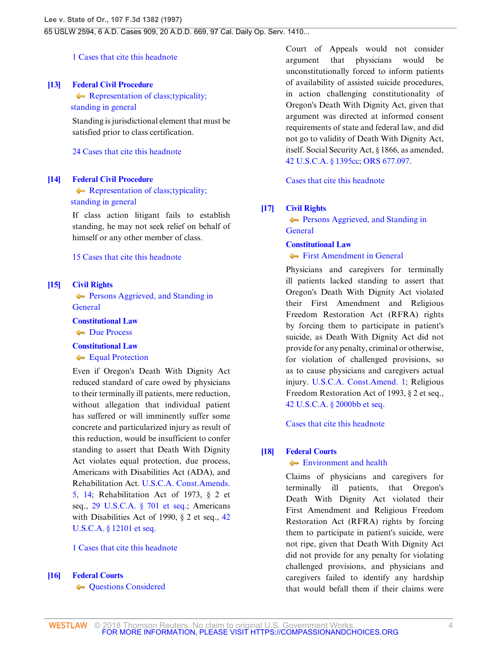# [1 Cases that cite this headnote](http://www.westlaw.com/Link/RelatedInformation/DocHeadnoteLink?docGuid=I76af26ec941311d9bdd1cfdd544ca3a4&headnoteId=199705941101220140318035542&originationContext=document&vr=3.0&rs=cblt1.0&transitionType=CitingReferences&contextData=(sc.Search))

## <span id="page-3-0"></span>**[\[13\]](#page-8-2) [Federal Civil Procedure](http://www.westlaw.com/Browse/Home/KeyNumber/170A/View.html?docGuid=I76af26ec941311d9bdd1cfdd544ca3a4&originationContext=document&vr=3.0&rs=cblt1.0&transitionType=DocumentItem&contextData=(sc.Search))**

Representation of class; typicality;  [standing in general](http://www.westlaw.com/Browse/Home/KeyNumber/170Ak164/View.html?docGuid=I76af26ec941311d9bdd1cfdd544ca3a4&originationContext=document&vr=3.0&rs=cblt1.0&transitionType=DocumentItem&contextData=(sc.Search))

Standing is jurisdictional element that must be satisfied prior to class certification.

[24 Cases that cite this headnote](http://www.westlaw.com/Link/RelatedInformation/DocHeadnoteLink?docGuid=I76af26ec941311d9bdd1cfdd544ca3a4&headnoteId=199705941101320140318035542&originationContext=document&vr=3.0&rs=cblt1.0&transitionType=CitingReferences&contextData=(sc.Search))

## <span id="page-3-1"></span>**[\[14\]](#page-8-3) [Federal Civil Procedure](http://www.westlaw.com/Browse/Home/KeyNumber/170A/View.html?docGuid=I76af26ec941311d9bdd1cfdd544ca3a4&originationContext=document&vr=3.0&rs=cblt1.0&transitionType=DocumentItem&contextData=(sc.Search))**

Representation of class; typicality;  [standing in general](http://www.westlaw.com/Browse/Home/KeyNumber/170Ak164/View.html?docGuid=I76af26ec941311d9bdd1cfdd544ca3a4&originationContext=document&vr=3.0&rs=cblt1.0&transitionType=DocumentItem&contextData=(sc.Search))

If class action litigant fails to establish standing, he may not seek relief on behalf of himself or any other member of class.

## [15 Cases that cite this headnote](http://www.westlaw.com/Link/RelatedInformation/DocHeadnoteLink?docGuid=I76af26ec941311d9bdd1cfdd544ca3a4&headnoteId=199705941101420140318035542&originationContext=document&vr=3.0&rs=cblt1.0&transitionType=CitingReferences&contextData=(sc.Search))

## <span id="page-3-2"></span>**[\[15\]](#page-8-4) [Civil Rights](http://www.westlaw.com/Browse/Home/KeyNumber/78/View.html?docGuid=I76af26ec941311d9bdd1cfdd544ca3a4&originationContext=document&vr=3.0&rs=cblt1.0&transitionType=DocumentItem&contextData=(sc.Search))**

**[Persons Aggrieved, and Standing in](http://www.westlaw.com/Browse/Home/KeyNumber/78k1331/View.html?docGuid=I76af26ec941311d9bdd1cfdd544ca3a4&originationContext=document&vr=3.0&rs=cblt1.0&transitionType=DocumentItem&contextData=(sc.Search)) [General](http://www.westlaw.com/Browse/Home/KeyNumber/78k1331/View.html?docGuid=I76af26ec941311d9bdd1cfdd544ca3a4&originationContext=document&vr=3.0&rs=cblt1.0&transitionType=DocumentItem&contextData=(sc.Search))** 

**[Constitutional Law](http://www.westlaw.com/Browse/Home/KeyNumber/92/View.html?docGuid=I76af26ec941311d9bdd1cfdd544ca3a4&originationContext=document&vr=3.0&rs=cblt1.0&transitionType=DocumentItem&contextData=(sc.Search))**

[Due Process](http://www.westlaw.com/Browse/Home/KeyNumber/92VI(A)10/View.html?docGuid=I76af26ec941311d9bdd1cfdd544ca3a4&originationContext=document&vr=3.0&rs=cblt1.0&transitionType=DocumentItem&contextData=(sc.Search))

## **[Constitutional Law](http://www.westlaw.com/Browse/Home/KeyNumber/92/View.html?docGuid=I76af26ec941311d9bdd1cfdd544ca3a4&originationContext=document&vr=3.0&rs=cblt1.0&transitionType=DocumentItem&contextData=(sc.Search))**

**[Equal Protection](http://www.westlaw.com/Browse/Home/KeyNumber/92VI(A)11/View.html?docGuid=I76af26ec941311d9bdd1cfdd544ca3a4&originationContext=document&vr=3.0&rs=cblt1.0&transitionType=DocumentItem&contextData=(sc.Search))** 

Even if Oregon's Death With Dignity Act reduced standard of care owed by physicians to their terminally ill patients, mere reduction, without allegation that individual patient has suffered or will imminently suffer some concrete and particularized injury as result of this reduction, would be insufficient to confer standing to assert that Death With Dignity Act violates equal protection, due process, Americans with Disabilities Act (ADA), and Rehabilitation Act. [U.S.C.A. Const.Amends.](http://www.westlaw.com/Link/Document/FullText?findType=L&pubNum=1000546&cite=USCOAMENDV&originatingDoc=I76af26ec941311d9bdd1cfdd544ca3a4&refType=LQ&originationContext=document&vr=3.0&rs=cblt1.0&transitionType=DocumentItem&contextData=(sc.Search)) [5,](http://www.westlaw.com/Link/Document/FullText?findType=L&pubNum=1000546&cite=USCOAMENDV&originatingDoc=I76af26ec941311d9bdd1cfdd544ca3a4&refType=LQ&originationContext=document&vr=3.0&rs=cblt1.0&transitionType=DocumentItem&contextData=(sc.Search)) [14](http://www.westlaw.com/Link/Document/FullText?findType=L&pubNum=1000546&cite=USCOAMENDXIV&originatingDoc=I76af26ec941311d9bdd1cfdd544ca3a4&refType=LQ&originationContext=document&vr=3.0&rs=cblt1.0&transitionType=DocumentItem&contextData=(sc.Search)); Rehabilitation Act of 1973, § 2 et seq., [29 U.S.C.A. § 701 et seq.](http://www.westlaw.com/Link/Document/FullText?findType=L&pubNum=1000546&cite=29USCAS701&originatingDoc=I76af26ec941311d9bdd1cfdd544ca3a4&refType=LQ&originationContext=document&vr=3.0&rs=cblt1.0&transitionType=DocumentItem&contextData=(sc.Search)); Americans with Disabilities Act of 1990, § 2 et seq., [42](http://www.westlaw.com/Link/Document/FullText?findType=L&pubNum=1000546&cite=42USCAS12101&originatingDoc=I76af26ec941311d9bdd1cfdd544ca3a4&refType=LQ&originationContext=document&vr=3.0&rs=cblt1.0&transitionType=DocumentItem&contextData=(sc.Search)) [U.S.C.A. § 12101 et seq.](http://www.westlaw.com/Link/Document/FullText?findType=L&pubNum=1000546&cite=42USCAS12101&originatingDoc=I76af26ec941311d9bdd1cfdd544ca3a4&refType=LQ&originationContext=document&vr=3.0&rs=cblt1.0&transitionType=DocumentItem&contextData=(sc.Search))

[1 Cases that cite this headnote](http://www.westlaw.com/Link/RelatedInformation/DocHeadnoteLink?docGuid=I76af26ec941311d9bdd1cfdd544ca3a4&headnoteId=199705941101520140318035542&originationContext=document&vr=3.0&rs=cblt1.0&transitionType=CitingReferences&contextData=(sc.Search))

## <span id="page-3-3"></span>**[\[16\]](#page-8-5) [Federal Courts](http://www.westlaw.com/Browse/Home/KeyNumber/170B/View.html?docGuid=I76af26ec941311d9bdd1cfdd544ca3a4&originationContext=document&vr=3.0&rs=cblt1.0&transitionType=DocumentItem&contextData=(sc.Search))**

**[Questions Considered](http://www.westlaw.com/Browse/Home/KeyNumber/170Bk3543/View.html?docGuid=I76af26ec941311d9bdd1cfdd544ca3a4&originationContext=document&vr=3.0&rs=cblt1.0&transitionType=DocumentItem&contextData=(sc.Search))** 

Court of Appeals would not consider argument that physicians would be unconstitutionally forced to inform patients of availability of assisted suicide procedures, in action challenging constitutionality of Oregon's Death With Dignity Act, given that argument was directed at informed consent requirements of state and federal law, and did not go to validity of Death With Dignity Act, itself. Social Security Act, § 1866, as amended, [42 U.S.C.A. § 1395cc](http://www.westlaw.com/Link/Document/FullText?findType=L&pubNum=1000546&cite=42USCAS1395CC&originatingDoc=I76af26ec941311d9bdd1cfdd544ca3a4&refType=LQ&originationContext=document&vr=3.0&rs=cblt1.0&transitionType=DocumentItem&contextData=(sc.Search)); [ORS 677.097](http://www.westlaw.com/Link/Document/FullText?findType=L&pubNum=1000534&cite=ORSTS677.097&originatingDoc=I76af26ec941311d9bdd1cfdd544ca3a4&refType=LQ&originationContext=document&vr=3.0&rs=cblt1.0&transitionType=DocumentItem&contextData=(sc.Search)).

[Cases that cite this headnote](http://www.westlaw.com/Link/RelatedInformation/DocHeadnoteLink?docGuid=I76af26ec941311d9bdd1cfdd544ca3a4&headnoteId=199705941101620140318035542&originationContext=document&vr=3.0&rs=cblt1.0&transitionType=CitingReferences&contextData=(sc.Search))

## <span id="page-3-4"></span>**[\[17\]](#page-8-6) [Civil Rights](http://www.westlaw.com/Browse/Home/KeyNumber/78/View.html?docGuid=I76af26ec941311d9bdd1cfdd544ca3a4&originationContext=document&vr=3.0&rs=cblt1.0&transitionType=DocumentItem&contextData=(sc.Search))**

**[Persons Aggrieved, and Standing in](http://www.westlaw.com/Browse/Home/KeyNumber/78k1331/View.html?docGuid=I76af26ec941311d9bdd1cfdd544ca3a4&originationContext=document&vr=3.0&rs=cblt1.0&transitionType=DocumentItem&contextData=(sc.Search)) [General](http://www.westlaw.com/Browse/Home/KeyNumber/78k1331/View.html?docGuid=I76af26ec941311d9bdd1cfdd544ca3a4&originationContext=document&vr=3.0&rs=cblt1.0&transitionType=DocumentItem&contextData=(sc.Search))** 

## **[Constitutional Law](http://www.westlaw.com/Browse/Home/KeyNumber/92/View.html?docGuid=I76af26ec941311d9bdd1cfdd544ca3a4&originationContext=document&vr=3.0&rs=cblt1.0&transitionType=DocumentItem&contextData=(sc.Search))**

**[First Amendment in General](http://www.westlaw.com/Browse/Home/KeyNumber/92VI(A)7/View.html?docGuid=I76af26ec941311d9bdd1cfdd544ca3a4&originationContext=document&vr=3.0&rs=cblt1.0&transitionType=DocumentItem&contextData=(sc.Search))** 

Physicians and caregivers for terminally ill patients lacked standing to assert that Oregon's Death With Dignity Act violated their First Amendment and Religious Freedom Restoration Act (RFRA) rights by forcing them to participate in patient's suicide, as Death With Dignity Act did not provide for any penalty, criminal or otherwise, for violation of challenged provisions, so as to cause physicians and caregivers actual injury. [U.S.C.A. Const.Amend. 1;](http://www.westlaw.com/Link/Document/FullText?findType=L&pubNum=1000546&cite=USCOAMENDI&originatingDoc=I76af26ec941311d9bdd1cfdd544ca3a4&refType=LQ&originationContext=document&vr=3.0&rs=cblt1.0&transitionType=DocumentItem&contextData=(sc.Search)) Religious Freedom Restoration Act of 1993, § 2 et seq., [42 U.S.C.A. § 2000bb et seq.](http://www.westlaw.com/Link/Document/FullText?findType=L&pubNum=1000546&cite=42USCAS2000BB&originatingDoc=I76af26ec941311d9bdd1cfdd544ca3a4&refType=LQ&originationContext=document&vr=3.0&rs=cblt1.0&transitionType=DocumentItem&contextData=(sc.Search))

[Cases that cite this headnote](http://www.westlaw.com/Link/RelatedInformation/DocHeadnoteLink?docGuid=I76af26ec941311d9bdd1cfdd544ca3a4&headnoteId=199705941101720140318035542&originationContext=document&vr=3.0&rs=cblt1.0&transitionType=CitingReferences&contextData=(sc.Search))

# <span id="page-3-5"></span>**[\[18\]](#page-9-0) [Federal Courts](http://www.westlaw.com/Browse/Home/KeyNumber/170B/View.html?docGuid=I76af26ec941311d9bdd1cfdd544ca3a4&originationContext=document&vr=3.0&rs=cblt1.0&transitionType=DocumentItem&contextData=(sc.Search))**

## [Environment and health](http://www.westlaw.com/Browse/Home/KeyNumber/170Bk2165/View.html?docGuid=I76af26ec941311d9bdd1cfdd544ca3a4&originationContext=document&vr=3.0&rs=cblt1.0&transitionType=DocumentItem&contextData=(sc.Search))

Claims of physicians and caregivers for terminally ill patients, that Oregon's Death With Dignity Act violated their First Amendment and Religious Freedom Restoration Act (RFRA) rights by forcing them to participate in patient's suicide, were not ripe, given that Death With Dignity Act did not provide for any penalty for violating challenged provisions, and physicians and caregivers failed to identify any hardship that would befall them if their claims were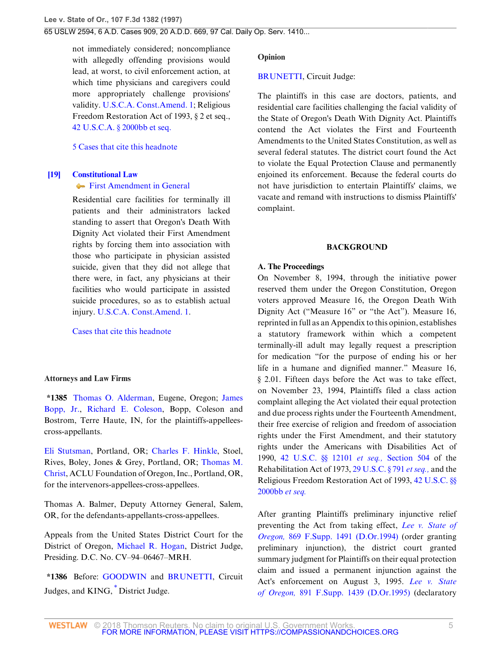not immediately considered; noncompliance with allegedly offending provisions would lead, at worst, to civil enforcement action, at which time physicians and caregivers could more appropriately challenge provisions' validity. [U.S.C.A. Const.Amend. 1](http://www.westlaw.com/Link/Document/FullText?findType=L&pubNum=1000546&cite=USCOAMENDI&originatingDoc=I76af26ec941311d9bdd1cfdd544ca3a4&refType=LQ&originationContext=document&vr=3.0&rs=cblt1.0&transitionType=DocumentItem&contextData=(sc.Search)); Religious Freedom Restoration Act of 1993, § 2 et seq., [42 U.S.C.A. § 2000bb et seq.](http://www.westlaw.com/Link/Document/FullText?findType=L&pubNum=1000546&cite=42USCAS2000BB&originatingDoc=I76af26ec941311d9bdd1cfdd544ca3a4&refType=LQ&originationContext=document&vr=3.0&rs=cblt1.0&transitionType=DocumentItem&contextData=(sc.Search))

### [5 Cases that cite this headnote](http://www.westlaw.com/Link/RelatedInformation/DocHeadnoteLink?docGuid=I76af26ec941311d9bdd1cfdd544ca3a4&headnoteId=199705941101820140318035542&originationContext=document&vr=3.0&rs=cblt1.0&transitionType=CitingReferences&contextData=(sc.Search))

# <span id="page-4-0"></span>**[\[19\]](#page-9-1) [Constitutional Law](http://www.westlaw.com/Browse/Home/KeyNumber/92/View.html?docGuid=I76af26ec941311d9bdd1cfdd544ca3a4&originationContext=document&vr=3.0&rs=cblt1.0&transitionType=DocumentItem&contextData=(sc.Search))**

# **[First Amendment in General](http://www.westlaw.com/Browse/Home/KeyNumber/92VI(A)7/View.html?docGuid=I76af26ec941311d9bdd1cfdd544ca3a4&originationContext=document&vr=3.0&rs=cblt1.0&transitionType=DocumentItem&contextData=(sc.Search))**

Residential care facilities for terminally ill patients and their administrators lacked standing to assert that Oregon's Death With Dignity Act violated their First Amendment rights by forcing them into association with those who participate in physician assisted suicide, given that they did not allege that there were, in fact, any physicians at their facilities who would participate in assisted suicide procedures, so as to establish actual injury. [U.S.C.A. Const.Amend. 1.](http://www.westlaw.com/Link/Document/FullText?findType=L&pubNum=1000546&cite=USCOAMENDI&originatingDoc=I76af26ec941311d9bdd1cfdd544ca3a4&refType=LQ&originationContext=document&vr=3.0&rs=cblt1.0&transitionType=DocumentItem&contextData=(sc.Search))

### [Cases that cite this headnote](http://www.westlaw.com/Link/RelatedInformation/DocHeadnoteLink?docGuid=I76af26ec941311d9bdd1cfdd544ca3a4&headnoteId=199705941101920140318035542&originationContext=document&vr=3.0&rs=cblt1.0&transitionType=CitingReferences&contextData=(sc.Search))

### **Attorneys and Law Firms**

**\*1385** [Thomas O. Alderman](http://www.westlaw.com/Link/Document/FullText?findType=h&pubNum=176284&cite=0426803801&originatingDoc=I76af26ec941311d9bdd1cfdd544ca3a4&refType=RQ&originationContext=document&vr=3.0&rs=cblt1.0&transitionType=DocumentItem&contextData=(sc.Search)), Eugene, Oregon; [James](http://www.westlaw.com/Link/Document/FullText?findType=h&pubNum=176284&cite=0184584801&originatingDoc=I76af26ec941311d9bdd1cfdd544ca3a4&refType=RQ&originationContext=document&vr=3.0&rs=cblt1.0&transitionType=DocumentItem&contextData=(sc.Search)) [Bopp, Jr.](http://www.westlaw.com/Link/Document/FullText?findType=h&pubNum=176284&cite=0184584801&originatingDoc=I76af26ec941311d9bdd1cfdd544ca3a4&refType=RQ&originationContext=document&vr=3.0&rs=cblt1.0&transitionType=DocumentItem&contextData=(sc.Search)), [Richard E. Coleson](http://www.westlaw.com/Link/Document/FullText?findType=h&pubNum=176284&cite=0104295801&originatingDoc=I76af26ec941311d9bdd1cfdd544ca3a4&refType=RQ&originationContext=document&vr=3.0&rs=cblt1.0&transitionType=DocumentItem&contextData=(sc.Search)), Bopp, Coleson and Bostrom, Terre Haute, IN, for the plaintiffs-appelleescross-appellants.

[Eli Stutsman,](http://www.westlaw.com/Link/Document/FullText?findType=h&pubNum=176284&cite=0282117101&originatingDoc=I76af26ec941311d9bdd1cfdd544ca3a4&refType=RQ&originationContext=document&vr=3.0&rs=cblt1.0&transitionType=DocumentItem&contextData=(sc.Search)) Portland, OR; [Charles F. Hinkle,](http://www.westlaw.com/Link/Document/FullText?findType=h&pubNum=176284&cite=0207971101&originatingDoc=I76af26ec941311d9bdd1cfdd544ca3a4&refType=RQ&originationContext=document&vr=3.0&rs=cblt1.0&transitionType=DocumentItem&contextData=(sc.Search)) Stoel, Rives, Boley, Jones & Grey, Portland, OR; [Thomas M.](http://www.westlaw.com/Link/Document/FullText?findType=h&pubNum=176284&cite=0208948101&originatingDoc=I76af26ec941311d9bdd1cfdd544ca3a4&refType=RQ&originationContext=document&vr=3.0&rs=cblt1.0&transitionType=DocumentItem&contextData=(sc.Search)) [Christ](http://www.westlaw.com/Link/Document/FullText?findType=h&pubNum=176284&cite=0208948101&originatingDoc=I76af26ec941311d9bdd1cfdd544ca3a4&refType=RQ&originationContext=document&vr=3.0&rs=cblt1.0&transitionType=DocumentItem&contextData=(sc.Search)), ACLU Foundation of Oregon, Inc., Portland, OR, for the intervenors-appellees-cross-appellees.

Thomas A. Balmer, Deputy Attorney General, Salem, OR, for the defendants-appellants-cross-appellees.

Appeals from the United States District Court for the District of Oregon, [Michael R. Hogan,](http://www.westlaw.com/Link/Document/FullText?findType=h&pubNum=176284&cite=0207970001&originatingDoc=I76af26ec941311d9bdd1cfdd544ca3a4&refType=RQ&originationContext=document&vr=3.0&rs=cblt1.0&transitionType=DocumentItem&contextData=(sc.Search)) District Judge, Presiding. D.C. No. CV–94–06467–MRH.

<span id="page-4-1"></span>**\*1386** Before: [GOODWIN](http://www.westlaw.com/Link/Document/FullText?findType=h&pubNum=176284&cite=0260465701&originatingDoc=I76af26ec941311d9bdd1cfdd544ca3a4&refType=RQ&originationContext=document&vr=3.0&rs=cblt1.0&transitionType=DocumentItem&contextData=(sc.Search)) and [BRUNETTI,](http://www.westlaw.com/Link/Document/FullText?findType=h&pubNum=176284&cite=0199854201&originatingDoc=I76af26ec941311d9bdd1cfdd544ca3a4&refType=RQ&originationContext=document&vr=3.0&rs=cblt1.0&transitionType=DocumentItem&contextData=(sc.Search)) Circuit Judges, and KING, [\\*](#page-14-0) District Judge.

#### **Opinion**

### [BRUNETTI,](http://www.westlaw.com/Link/Document/FullText?findType=h&pubNum=176284&cite=0199854201&originatingDoc=I76af26ec941311d9bdd1cfdd544ca3a4&refType=RQ&originationContext=document&vr=3.0&rs=cblt1.0&transitionType=DocumentItem&contextData=(sc.Search)) Circuit Judge:

The plaintiffs in this case are doctors, patients, and residential care facilities challenging the facial validity of the State of Oregon's Death With Dignity Act. Plaintiffs contend the Act violates the First and Fourteenth Amendments to the United States Constitution, as well as several federal statutes. The district court found the Act to violate the Equal Protection Clause and permanently enjoined its enforcement. Because the federal courts do not have jurisdiction to entertain Plaintiffs' claims, we vacate and remand with instructions to dismiss Plaintiffs' complaint.

#### **BACKGROUND**

#### **A. The Proceedings**

On November 8, 1994, through the initiative power reserved them under the Oregon Constitution, Oregon voters approved Measure 16, the Oregon Death With Dignity Act ("Measure 16" or "the Act"). Measure 16, reprinted in full as an Appendix to this opinion, establishes a statutory framework within which a competent terminally-ill adult may legally request a prescription for medication "for the purpose of ending his or her life in a humane and dignified manner." Measure 16, § 2.01. Fifteen days before the Act was to take effect, on November 23, 1994, Plaintiffs filed a class action complaint alleging the Act violated their equal protection and due process rights under the Fourteenth Amendment, their free exercise of religion and freedom of association rights under the First Amendment, and their statutory rights under the Americans with Disabilities Act of 1990, [42 U.S.C. §§ 12101](http://www.westlaw.com/Link/Document/FullText?findType=L&pubNum=1000546&cite=42USCAS12101&originatingDoc=I76af26ec941311d9bdd1cfdd544ca3a4&refType=LQ&originationContext=document&vr=3.0&rs=cblt1.0&transitionType=DocumentItem&contextData=(sc.Search)) *et seq.,* [Section 504](http://www.westlaw.com/Link/Document/FullText?findType=L&pubNum=1000546&cite=42USCAS504&originatingDoc=I76af26ec941311d9bdd1cfdd544ca3a4&refType=LQ&originationContext=document&vr=3.0&rs=cblt1.0&transitionType=DocumentItem&contextData=(sc.Search)) of the Rehabilitation Act of 1973, [29 U.S.C. § 791](http://www.westlaw.com/Link/Document/FullText?findType=L&pubNum=1000546&cite=29USCAS791&originatingDoc=I76af26ec941311d9bdd1cfdd544ca3a4&refType=LQ&originationContext=document&vr=3.0&rs=cblt1.0&transitionType=DocumentItem&contextData=(sc.Search)) *et seq.,* and the Religious Freedom Restoration Act of 1993, [42 U.S.C. §§](http://www.westlaw.com/Link/Document/FullText?findType=L&pubNum=1000546&cite=42USCAS2000BB&originatingDoc=I76af26ec941311d9bdd1cfdd544ca3a4&refType=LQ&originationContext=document&vr=3.0&rs=cblt1.0&transitionType=DocumentItem&contextData=(sc.Search)) [2000bb](http://www.westlaw.com/Link/Document/FullText?findType=L&pubNum=1000546&cite=42USCAS2000BB&originatingDoc=I76af26ec941311d9bdd1cfdd544ca3a4&refType=LQ&originationContext=document&vr=3.0&rs=cblt1.0&transitionType=DocumentItem&contextData=(sc.Search)) *et seq.*

After granting Plaintiffs preliminary injunctive relief preventing the Act from taking effect, *[Lee v. State of](http://www.westlaw.com/Link/Document/FullText?findType=Y&serNum=1995025491&pubNum=345&originatingDoc=I76af26ec941311d9bdd1cfdd544ca3a4&refType=RP&originationContext=document&vr=3.0&rs=cblt1.0&transitionType=DocumentItem&contextData=(sc.Search)) Oregon,* [869 F.Supp. 1491 \(D.Or.1994\)](http://www.westlaw.com/Link/Document/FullText?findType=Y&serNum=1995025491&pubNum=345&originatingDoc=I76af26ec941311d9bdd1cfdd544ca3a4&refType=RP&originationContext=document&vr=3.0&rs=cblt1.0&transitionType=DocumentItem&contextData=(sc.Search)) (order granting preliminary injunction), the district court granted summary judgment for Plaintiffs on their equal protection claim and issued a permanent injunction against the Act's enforcement on August 3, 1995. *[Lee v. State](http://www.westlaw.com/Link/Document/FullText?findType=Y&serNum=1995164684&pubNum=345&originatingDoc=I76af26ec941311d9bdd1cfdd544ca3a4&refType=RP&originationContext=document&vr=3.0&rs=cblt1.0&transitionType=DocumentItem&contextData=(sc.Search)) of Oregon,* [891 F.Supp. 1439 \(D.Or.1995\)](http://www.westlaw.com/Link/Document/FullText?findType=Y&serNum=1995164684&pubNum=345&originatingDoc=I76af26ec941311d9bdd1cfdd544ca3a4&refType=RP&originationContext=document&vr=3.0&rs=cblt1.0&transitionType=DocumentItem&contextData=(sc.Search)) (declaratory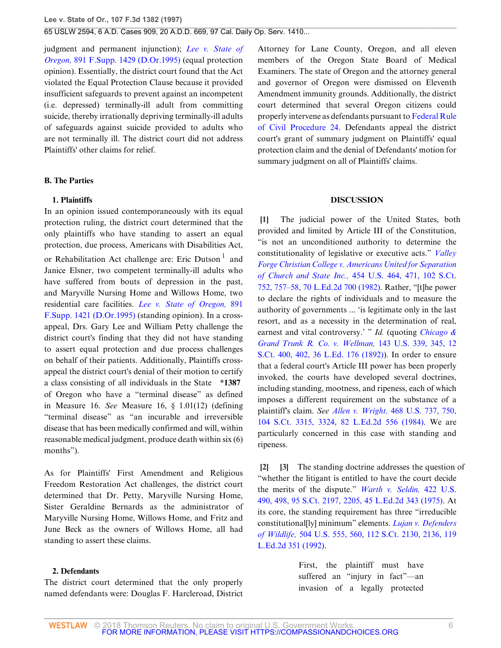judgment and permanent injunction); *[Lee v. State of](http://www.westlaw.com/Link/Document/FullText?findType=Y&serNum=1995164683&pubNum=345&originatingDoc=I76af26ec941311d9bdd1cfdd544ca3a4&refType=RP&originationContext=document&vr=3.0&rs=cblt1.0&transitionType=DocumentItem&contextData=(sc.Search)) Oregon,* [891 F.Supp. 1429 \(D.Or.1995\)](http://www.westlaw.com/Link/Document/FullText?findType=Y&serNum=1995164683&pubNum=345&originatingDoc=I76af26ec941311d9bdd1cfdd544ca3a4&refType=RP&originationContext=document&vr=3.0&rs=cblt1.0&transitionType=DocumentItem&contextData=(sc.Search)) (equal protection opinion). Essentially, the district court found that the Act violated the Equal Protection Clause because it provided insufficient safeguards to prevent against an incompetent (i.e. depressed) terminally-ill adult from committing suicide, thereby irrationally depriving terminally-ill adults of safeguards against suicide provided to adults who are not terminally ill. The district court did not address Plaintiffs' other claims for relief.

### **B. The Parties**

## **1. Plaintiffs**

In an opinion issued contemporaneously with its equal protection ruling, the district court determined that the only plaintiffs who have standing to assert an equal protection, due process, Americans with Disabilities Act, or Rehabilitation Act challenge are: Eric Dutson<sup>[1](#page-14-1)</sup> and Janice Elsner, two competent terminally-ill adults who have suffered from bouts of depression in the past, and Maryville Nursing Home and Willows Home, two residential care facilities. *[Lee v. State of Oregon,](http://www.westlaw.com/Link/Document/FullText?findType=Y&serNum=1995164681&pubNum=345&originatingDoc=I76af26ec941311d9bdd1cfdd544ca3a4&refType=RP&originationContext=document&vr=3.0&rs=cblt1.0&transitionType=DocumentItem&contextData=(sc.Search))* 891 [F.Supp. 1421 \(D.Or.1995\)](http://www.westlaw.com/Link/Document/FullText?findType=Y&serNum=1995164681&pubNum=345&originatingDoc=I76af26ec941311d9bdd1cfdd544ca3a4&refType=RP&originationContext=document&vr=3.0&rs=cblt1.0&transitionType=DocumentItem&contextData=(sc.Search)) (standing opinion). In a crossappeal, Drs. Gary Lee and William Petty challenge the district court's finding that they did not have standing to assert equal protection and due process challenges on behalf of their patients. Additionally, Plaintiffs crossappeal the district court's denial of their motion to certify a class consisting of all individuals in the State **\*1387** of Oregon who have a "terminal disease" as defined in Measure 16. *See* Measure 16, § 1.01(12) (defining "terminal disease" as "an incurable and irreversible disease that has been medically confirmed and will, within reasonable medical judgment, produce death within six (6) months").

As for Plaintiffs' First Amendment and Religious Freedom Restoration Act challenges, the district court determined that Dr. Petty, Maryville Nursing Home, Sister Geraldine Bernards as the administrator of Maryville Nursing Home, Willows Home, and Fritz and June Beck as the owners of Willows Home, all had standing to assert these claims.

## **2. Defendants**

The district court determined that the only properly named defendants were: Douglas F. Harcleroad, District Attorney for Lane County, Oregon, and all eleven members of the Oregon State Board of Medical Examiners. The state of Oregon and the attorney general and governor of Oregon were dismissed on Eleventh Amendment immunity grounds. Additionally, the district court determined that several Oregon citizens could properly intervene as defendants pursuant to [Federal Rule](http://www.westlaw.com/Link/Document/FullText?findType=L&pubNum=1004365&cite=USFRCPR24&originatingDoc=I76af26ec941311d9bdd1cfdd544ca3a4&refType=LQ&originationContext=document&vr=3.0&rs=cblt1.0&transitionType=DocumentItem&contextData=(sc.Search)) [of Civil Procedure 24.](http://www.westlaw.com/Link/Document/FullText?findType=L&pubNum=1004365&cite=USFRCPR24&originatingDoc=I76af26ec941311d9bdd1cfdd544ca3a4&refType=LQ&originationContext=document&vr=3.0&rs=cblt1.0&transitionType=DocumentItem&contextData=(sc.Search)) Defendants appeal the district court's grant of summary judgment on Plaintiffs' equal protection claim and the denial of Defendants' motion for summary judgment on all of Plaintiffs' claims.

#### **DISCUSSION**

<span id="page-5-3"></span><span id="page-5-0"></span>**[\[1](#page-1-0)]** The judicial power of the United States, both provided and limited by Article III of the Constitution, "is not an unconditioned authority to determine the constitutionality of legislative or executive acts." *[Valley](http://www.westlaw.com/Link/Document/FullText?findType=Y&serNum=1982102020&pubNum=708&originatingDoc=I76af26ec941311d9bdd1cfdd544ca3a4&refType=RP&fi=co_pp_sp_708_757&originationContext=document&vr=3.0&rs=cblt1.0&transitionType=DocumentItem&contextData=(sc.Search)#co_pp_sp_708_757) [Forge Christian College v. Americans United for Separation](http://www.westlaw.com/Link/Document/FullText?findType=Y&serNum=1982102020&pubNum=708&originatingDoc=I76af26ec941311d9bdd1cfdd544ca3a4&refType=RP&fi=co_pp_sp_708_757&originationContext=document&vr=3.0&rs=cblt1.0&transitionType=DocumentItem&contextData=(sc.Search)#co_pp_sp_708_757) of Church and State Inc.,* [454 U.S. 464, 471, 102 S.Ct.](http://www.westlaw.com/Link/Document/FullText?findType=Y&serNum=1982102020&pubNum=708&originatingDoc=I76af26ec941311d9bdd1cfdd544ca3a4&refType=RP&fi=co_pp_sp_708_757&originationContext=document&vr=3.0&rs=cblt1.0&transitionType=DocumentItem&contextData=(sc.Search)#co_pp_sp_708_757) [752, 757–58, 70 L.Ed.2d 700 \(1982\).](http://www.westlaw.com/Link/Document/FullText?findType=Y&serNum=1982102020&pubNum=708&originatingDoc=I76af26ec941311d9bdd1cfdd544ca3a4&refType=RP&fi=co_pp_sp_708_757&originationContext=document&vr=3.0&rs=cblt1.0&transitionType=DocumentItem&contextData=(sc.Search)#co_pp_sp_708_757) Rather, "[t]he power to declare the rights of individuals and to measure the authority of governments ... 'is legitimate only in the last resort, and as a necessity in the determination of real, earnest and vital controversy.' " *Id.* (quoting *[Chicago &](http://www.westlaw.com/Link/Document/FullText?findType=Y&serNum=1892180106&pubNum=708&originatingDoc=I76af26ec941311d9bdd1cfdd544ca3a4&refType=RP&fi=co_pp_sp_708_402&originationContext=document&vr=3.0&rs=cblt1.0&transitionType=DocumentItem&contextData=(sc.Search)#co_pp_sp_708_402) [Grand Trunk R. Co. v. Wellman,](http://www.westlaw.com/Link/Document/FullText?findType=Y&serNum=1892180106&pubNum=708&originatingDoc=I76af26ec941311d9bdd1cfdd544ca3a4&refType=RP&fi=co_pp_sp_708_402&originationContext=document&vr=3.0&rs=cblt1.0&transitionType=DocumentItem&contextData=(sc.Search)#co_pp_sp_708_402)* 143 U.S. 339, 345, 12 [S.Ct. 400, 402, 36 L.Ed. 176 \(1892\)](http://www.westlaw.com/Link/Document/FullText?findType=Y&serNum=1892180106&pubNum=708&originatingDoc=I76af26ec941311d9bdd1cfdd544ca3a4&refType=RP&fi=co_pp_sp_708_402&originationContext=document&vr=3.0&rs=cblt1.0&transitionType=DocumentItem&contextData=(sc.Search)#co_pp_sp_708_402)). In order to ensure that a federal court's Article III power has been properly invoked, the courts have developed several doctrines, including standing, mootness, and ripeness, each of which imposes a different requirement on the substance of a plaintiff's claim. *See Allen v. Wright,* [468 U.S. 737, 750,](http://www.westlaw.com/Link/Document/FullText?findType=Y&serNum=1984132352&pubNum=708&originatingDoc=I76af26ec941311d9bdd1cfdd544ca3a4&refType=RP&fi=co_pp_sp_708_3324&originationContext=document&vr=3.0&rs=cblt1.0&transitionType=DocumentItem&contextData=(sc.Search)#co_pp_sp_708_3324) [104 S.Ct. 3315, 3324, 82 L.Ed.2d 556 \(1984\).](http://www.westlaw.com/Link/Document/FullText?findType=Y&serNum=1984132352&pubNum=708&originatingDoc=I76af26ec941311d9bdd1cfdd544ca3a4&refType=RP&fi=co_pp_sp_708_3324&originationContext=document&vr=3.0&rs=cblt1.0&transitionType=DocumentItem&contextData=(sc.Search)#co_pp_sp_708_3324) We are particularly concerned in this case with standing and ripeness.

<span id="page-5-2"></span><span id="page-5-1"></span>**[\[2](#page-1-1)] [\[3](#page-1-2)]** The standing doctrine addresses the question of "whether the litigant is entitled to have the court decide the merits of the dispute." *[Warth v. Seldin,](http://www.westlaw.com/Link/Document/FullText?findType=Y&serNum=1975129820&pubNum=708&originatingDoc=I76af26ec941311d9bdd1cfdd544ca3a4&refType=RP&fi=co_pp_sp_708_2205&originationContext=document&vr=3.0&rs=cblt1.0&transitionType=DocumentItem&contextData=(sc.Search)#co_pp_sp_708_2205)* 422 U.S. [490, 498, 95 S.Ct. 2197, 2205, 45 L.Ed.2d 343 \(1975\)](http://www.westlaw.com/Link/Document/FullText?findType=Y&serNum=1975129820&pubNum=708&originatingDoc=I76af26ec941311d9bdd1cfdd544ca3a4&refType=RP&fi=co_pp_sp_708_2205&originationContext=document&vr=3.0&rs=cblt1.0&transitionType=DocumentItem&contextData=(sc.Search)#co_pp_sp_708_2205). At its core, the standing requirement has three "irreducible constitutional[ly] minimum" elements. *[Lujan v. Defenders](http://www.westlaw.com/Link/Document/FullText?findType=Y&serNum=1992106162&pubNum=708&originatingDoc=I76af26ec941311d9bdd1cfdd544ca3a4&refType=RP&fi=co_pp_sp_708_2136&originationContext=document&vr=3.0&rs=cblt1.0&transitionType=DocumentItem&contextData=(sc.Search)#co_pp_sp_708_2136) of Wildlife,* [504 U.S. 555, 560, 112 S.Ct. 2130, 2136, 119](http://www.westlaw.com/Link/Document/FullText?findType=Y&serNum=1992106162&pubNum=708&originatingDoc=I76af26ec941311d9bdd1cfdd544ca3a4&refType=RP&fi=co_pp_sp_708_2136&originationContext=document&vr=3.0&rs=cblt1.0&transitionType=DocumentItem&contextData=(sc.Search)#co_pp_sp_708_2136) [L.Ed.2d 351 \(1992\)](http://www.westlaw.com/Link/Document/FullText?findType=Y&serNum=1992106162&pubNum=708&originatingDoc=I76af26ec941311d9bdd1cfdd544ca3a4&refType=RP&fi=co_pp_sp_708_2136&originationContext=document&vr=3.0&rs=cblt1.0&transitionType=DocumentItem&contextData=(sc.Search)#co_pp_sp_708_2136).

> First, the plaintiff must have suffered an "injury in fact"—an invasion of a legally protected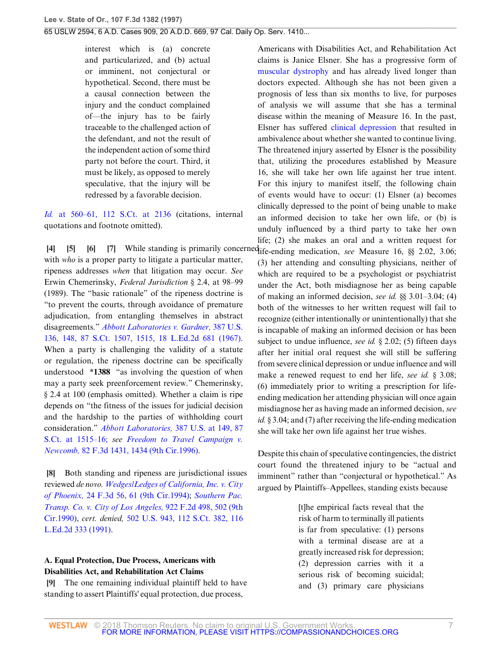interest which is (a) concrete and particularized, and (b) actual or imminent, not conjectural or hypothetical. Second, there must be a causal connection between the injury and the conduct complained of—the injury has to be fairly traceable to the challenged action of the defendant, and not the result of the independent action of some third party not before the court. Third, it must be likely, as opposed to merely speculative, that the injury will be redressed by a favorable decision.

*Id.* [at 560–61, 112 S.Ct. at 2136](http://www.westlaw.com/Link/Document/FullText?findType=Y&serNum=1992106162&pubNum=708&originatingDoc=I76af26ec941311d9bdd1cfdd544ca3a4&refType=RP&fi=co_pp_sp_708_2136&originationContext=document&vr=3.0&rs=cblt1.0&transitionType=DocumentItem&contextData=(sc.Search)#co_pp_sp_708_2136) (citations, internal quotations and footnote omitted).

<span id="page-6-3"></span><span id="page-6-2"></span><span id="page-6-1"></span><span id="page-6-0"></span>**[\[4](#page-1-3)] [\[5](#page-1-4)] [\[6](#page-1-5)] [\[7](#page-1-6)]** While standing is primarily concerned life-ending medication, *see* Measure 16, §§ 2.02, 3.06; with *who* is a proper party to litigate a particular matter, ripeness addresses *when* that litigation may occur. *See* Erwin Chemerinsky, *Federal Jurisdiction* § 2.4, at 98–99 (1989). The "basic rationale" of the ripeness doctrine is "to prevent the courts, through avoidance of premature adjudication, from entangling themselves in abstract disagreements." *[Abbott Laboratories v. Gardner,](http://www.westlaw.com/Link/Document/FullText?findType=Y&serNum=1967100001&pubNum=708&originatingDoc=I76af26ec941311d9bdd1cfdd544ca3a4&refType=RP&fi=co_pp_sp_708_1515&originationContext=document&vr=3.0&rs=cblt1.0&transitionType=DocumentItem&contextData=(sc.Search)#co_pp_sp_708_1515)* 387 U.S. [136, 148, 87 S.Ct. 1507, 1515, 18 L.Ed.2d 681 \(1967\)](http://www.westlaw.com/Link/Document/FullText?findType=Y&serNum=1967100001&pubNum=708&originatingDoc=I76af26ec941311d9bdd1cfdd544ca3a4&refType=RP&fi=co_pp_sp_708_1515&originationContext=document&vr=3.0&rs=cblt1.0&transitionType=DocumentItem&contextData=(sc.Search)#co_pp_sp_708_1515). When a party is challenging the validity of a statute or regulation, the ripeness doctrine can be specifically understood **\*1388** "as involving the question of when may a party seek preenforcement review." Chemerinsky, § 2.4 at 100 (emphasis omitted). Whether a claim is ripe depends on "the fitness of the issues for judicial decision and the hardship to the parties of withholding court consideration." *[Abbott Laboratories,](http://www.westlaw.com/Link/Document/FullText?findType=Y&serNum=1967100001&pubNum=708&originatingDoc=I76af26ec941311d9bdd1cfdd544ca3a4&refType=RP&fi=co_pp_sp_708_1515&originationContext=document&vr=3.0&rs=cblt1.0&transitionType=DocumentItem&contextData=(sc.Search)#co_pp_sp_708_1515)* 387 U.S. at 149, 87 [S.Ct. at 1515–16;](http://www.westlaw.com/Link/Document/FullText?findType=Y&serNum=1967100001&pubNum=708&originatingDoc=I76af26ec941311d9bdd1cfdd544ca3a4&refType=RP&fi=co_pp_sp_708_1515&originationContext=document&vr=3.0&rs=cblt1.0&transitionType=DocumentItem&contextData=(sc.Search)#co_pp_sp_708_1515) *see [Freedom to Travel Campaign v.](http://www.westlaw.com/Link/Document/FullText?findType=Y&serNum=1996104040&pubNum=506&originatingDoc=I76af26ec941311d9bdd1cfdd544ca3a4&refType=RP&fi=co_pp_sp_506_1434&originationContext=document&vr=3.0&rs=cblt1.0&transitionType=DocumentItem&contextData=(sc.Search)#co_pp_sp_506_1434) Newcomb,* [82 F.3d 1431, 1434 \(9th Cir.1996\)](http://www.westlaw.com/Link/Document/FullText?findType=Y&serNum=1996104040&pubNum=506&originatingDoc=I76af26ec941311d9bdd1cfdd544ca3a4&refType=RP&fi=co_pp_sp_506_1434&originationContext=document&vr=3.0&rs=cblt1.0&transitionType=DocumentItem&contextData=(sc.Search)#co_pp_sp_506_1434).

<span id="page-6-4"></span>**[\[8](#page-2-0)]** Both standing and ripeness are jurisdictional issues reviewed *de novo. [Wedges/Ledges of California, Inc. v. City](http://www.westlaw.com/Link/Document/FullText?findType=Y&serNum=1994115052&pubNum=506&originatingDoc=I76af26ec941311d9bdd1cfdd544ca3a4&refType=RP&fi=co_pp_sp_506_61&originationContext=document&vr=3.0&rs=cblt1.0&transitionType=DocumentItem&contextData=(sc.Search)#co_pp_sp_506_61) of Phoenix,* [24 F.3d 56, 61 \(9th Cir.1994\)](http://www.westlaw.com/Link/Document/FullText?findType=Y&serNum=1994115052&pubNum=506&originatingDoc=I76af26ec941311d9bdd1cfdd544ca3a4&refType=RP&fi=co_pp_sp_506_61&originationContext=document&vr=3.0&rs=cblt1.0&transitionType=DocumentItem&contextData=(sc.Search)#co_pp_sp_506_61); *[Southern Pac.](http://www.westlaw.com/Link/Document/FullText?findType=Y&serNum=1990178291&pubNum=350&originatingDoc=I76af26ec941311d9bdd1cfdd544ca3a4&refType=RP&fi=co_pp_sp_350_502&originationContext=document&vr=3.0&rs=cblt1.0&transitionType=DocumentItem&contextData=(sc.Search)#co_pp_sp_350_502) [Transp. Co. v. City of Los Angeles,](http://www.westlaw.com/Link/Document/FullText?findType=Y&serNum=1990178291&pubNum=350&originatingDoc=I76af26ec941311d9bdd1cfdd544ca3a4&refType=RP&fi=co_pp_sp_350_502&originationContext=document&vr=3.0&rs=cblt1.0&transitionType=DocumentItem&contextData=(sc.Search)#co_pp_sp_350_502)* 922 F.2d 498, 502 (9th [Cir.1990\),](http://www.westlaw.com/Link/Document/FullText?findType=Y&serNum=1990178291&pubNum=350&originatingDoc=I76af26ec941311d9bdd1cfdd544ca3a4&refType=RP&fi=co_pp_sp_350_502&originationContext=document&vr=3.0&rs=cblt1.0&transitionType=DocumentItem&contextData=(sc.Search)#co_pp_sp_350_502) *cert. denied,* [502 U.S. 943, 112 S.Ct. 382, 116](http://www.westlaw.com/Link/Document/FullText?findType=Y&serNum=1991174063&pubNum=708&originatingDoc=I76af26ec941311d9bdd1cfdd544ca3a4&refType=RP&originationContext=document&vr=3.0&rs=cblt1.0&transitionType=DocumentItem&contextData=(sc.Search)) [L.Ed.2d 333 \(1991\)](http://www.westlaw.com/Link/Document/FullText?findType=Y&serNum=1991174063&pubNum=708&originatingDoc=I76af26ec941311d9bdd1cfdd544ca3a4&refType=RP&originationContext=document&vr=3.0&rs=cblt1.0&transitionType=DocumentItem&contextData=(sc.Search)).

# **A. Equal Protection, Due Process, Americans with Disabilities Act, and Rehabilitation Act Claims**

<span id="page-6-5"></span>**[\[9](#page-2-1)]** The one remaining individual plaintiff held to have standing to assert Plaintiffs' equal protection, due process,

Americans with Disabilities Act, and Rehabilitation Act claims is Janice Elsner. She has a progressive form of [muscular dystrophy](http://www.westlaw.com/Link/Document/FullText?entityType=disease&entityId=Ic9d50f64475411db9765f9243f53508a&originationContext=document&transitionType=DocumentItem&contextData=(sc.Default)&vr=3.0&rs=cblt1.0) and has already lived longer than doctors expected. Although she has not been given a prognosis of less than six months to live, for purposes of analysis we will assume that she has a terminal disease within the meaning of Measure 16. In the past, Elsner has suffered [clinical depression](http://www.westlaw.com/Link/Document/FullText?entityType=disease&entityId=I777c68ab995711de9b8c850332338889&originationContext=document&transitionType=DocumentItem&contextData=(sc.Default)&vr=3.0&rs=cblt1.0) that resulted in ambivalence about whether she wanted to continue living. The threatened injury asserted by Elsner is the possibility that, utilizing the procedures established by Measure 16, she will take her own life against her true intent. For this injury to manifest itself, the following chain of events would have to occur: (1) Elsner (a) becomes clinically depressed to the point of being unable to make an informed decision to take her own life, or (b) is unduly influenced by a third party to take her own life; (2) she makes an oral and a written request for (3) her attending and consulting physicians, neither of which are required to be a psychologist or psychiatrist under the Act, both misdiagnose her as being capable of making an informed decision, *see id.* §§ 3.01–3.04; (4) both of the witnesses to her written request will fail to recognize (either intentionally or unintentionally) that she is incapable of making an informed decision or has been subject to undue influence, *see id.* § 2.02; (5) fifteen days after her initial oral request she will still be suffering from severe clinical depression or undue influence and will make a renewed request to end her life, *see id.* § 3.08; (6) immediately prior to writing a prescription for lifeending medication her attending physician will once again misdiagnose her as having made an informed decision, *see id.* § 3.04; and (7) after receiving the life-ending medication she will take her own life against her true wishes.

Despite this chain of speculative contingencies, the district court found the threatened injury to be "actual and imminent" rather than "conjectural or hypothetical." As argued by Plaintiffs–Appellees, standing exists because

> [t]he empirical facts reveal that the risk of harm to terminally ill patients is far from speculative: (1) persons with a terminal disease are at a greatly increased risk for depression; (2) depression carries with it a serious risk of becoming suicidal; and (3) primary care physicians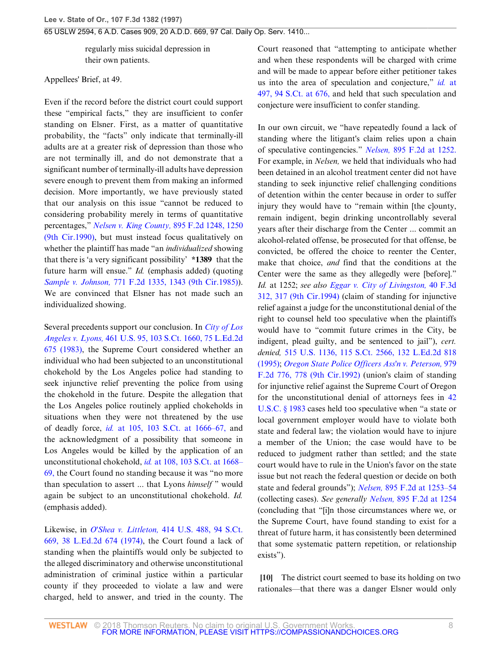regularly miss suicidal depression in their own patients.

Appellees' Brief, at 49.

Even if the record before the district court could support these "empirical facts," they are insufficient to confer standing on Elsner. First, as a matter of quantitative probability, the "facts" only indicate that terminally-ill adults are at a greater risk of depression than those who are not terminally ill, and do not demonstrate that a significant number of terminally-ill adults have depression severe enough to prevent them from making an informed decision. More importantly, we have previously stated that our analysis on this issue "cannot be reduced to considering probability merely in terms of quantitative percentages," *[Nelsen v. King County,](http://www.westlaw.com/Link/Document/FullText?findType=Y&serNum=1990033627&pubNum=350&originatingDoc=I76af26ec941311d9bdd1cfdd544ca3a4&refType=RP&fi=co_pp_sp_350_1250&originationContext=document&vr=3.0&rs=cblt1.0&transitionType=DocumentItem&contextData=(sc.Search)#co_pp_sp_350_1250)* 895 F.2d 1248, 1250 [\(9th Cir.1990\)](http://www.westlaw.com/Link/Document/FullText?findType=Y&serNum=1990033627&pubNum=350&originatingDoc=I76af26ec941311d9bdd1cfdd544ca3a4&refType=RP&fi=co_pp_sp_350_1250&originationContext=document&vr=3.0&rs=cblt1.0&transitionType=DocumentItem&contextData=(sc.Search)#co_pp_sp_350_1250), but must instead focus qualitatively on whether the plaintiff has made "an *individualized* showing that there is 'a very significant possibility' **\*1389** that the future harm will ensue." *Id.* (emphasis added) (quoting *Sample v. Johnson,* [771 F.2d 1335, 1343 \(9th Cir.1985\)\)](http://www.westlaw.com/Link/Document/FullText?findType=Y&serNum=1985146642&pubNum=350&originatingDoc=I76af26ec941311d9bdd1cfdd544ca3a4&refType=RP&fi=co_pp_sp_350_1343&originationContext=document&vr=3.0&rs=cblt1.0&transitionType=DocumentItem&contextData=(sc.Search)#co_pp_sp_350_1343). We are convinced that Elsner has not made such an individualized showing.

Several precedents support our conclusion. In *[City of Los](http://www.westlaw.com/Link/Document/FullText?findType=Y&serNum=1983118235&pubNum=708&originatingDoc=I76af26ec941311d9bdd1cfdd544ca3a4&refType=RP&originationContext=document&vr=3.0&rs=cblt1.0&transitionType=DocumentItem&contextData=(sc.Search)) Angeles v. Lyons,* [461 U.S. 95, 103 S.Ct. 1660, 75 L.Ed.2d](http://www.westlaw.com/Link/Document/FullText?findType=Y&serNum=1983118235&pubNum=708&originatingDoc=I76af26ec941311d9bdd1cfdd544ca3a4&refType=RP&originationContext=document&vr=3.0&rs=cblt1.0&transitionType=DocumentItem&contextData=(sc.Search)) [675 \(1983\)](http://www.westlaw.com/Link/Document/FullText?findType=Y&serNum=1983118235&pubNum=708&originatingDoc=I76af26ec941311d9bdd1cfdd544ca3a4&refType=RP&originationContext=document&vr=3.0&rs=cblt1.0&transitionType=DocumentItem&contextData=(sc.Search)), the Supreme Court considered whether an individual who had been subjected to an unconstitutional chokehold by the Los Angeles police had standing to seek injunctive relief preventing the police from using the chokehold in the future. Despite the allegation that the Los Angeles police routinely applied chokeholds in situations when they were not threatened by the use of deadly force, *id.* [at 105, 103 S.Ct. at 1666–67,](http://www.westlaw.com/Link/Document/FullText?findType=Y&serNum=1983118235&pubNum=708&originatingDoc=I76af26ec941311d9bdd1cfdd544ca3a4&refType=RP&fi=co_pp_sp_708_1666&originationContext=document&vr=3.0&rs=cblt1.0&transitionType=DocumentItem&contextData=(sc.Search)#co_pp_sp_708_1666) and the acknowledgment of a possibility that someone in Los Angeles would be killed by the application of an unconstitutional chokehold, *id.* [at 108, 103 S.Ct. at 1668–](http://www.westlaw.com/Link/Document/FullText?findType=Y&serNum=1983118235&pubNum=708&originatingDoc=I76af26ec941311d9bdd1cfdd544ca3a4&refType=RP&fi=co_pp_sp_708_1668&originationContext=document&vr=3.0&rs=cblt1.0&transitionType=DocumentItem&contextData=(sc.Search)#co_pp_sp_708_1668) [69,](http://www.westlaw.com/Link/Document/FullText?findType=Y&serNum=1983118235&pubNum=708&originatingDoc=I76af26ec941311d9bdd1cfdd544ca3a4&refType=RP&fi=co_pp_sp_708_1668&originationContext=document&vr=3.0&rs=cblt1.0&transitionType=DocumentItem&contextData=(sc.Search)#co_pp_sp_708_1668) the Court found no standing because it was "no more than speculation to assert ... that Lyons *himself* " would again be subject to an unconstitutional chokehold. *Id.* (emphasis added).

Likewise, in *O'Shea v. Littleton,* [414 U.S. 488, 94 S.Ct.](http://www.westlaw.com/Link/Document/FullText?findType=Y&serNum=1974127107&pubNum=708&originatingDoc=I76af26ec941311d9bdd1cfdd544ca3a4&refType=RP&originationContext=document&vr=3.0&rs=cblt1.0&transitionType=DocumentItem&contextData=(sc.Search)) [669, 38 L.Ed.2d 674 \(1974\)](http://www.westlaw.com/Link/Document/FullText?findType=Y&serNum=1974127107&pubNum=708&originatingDoc=I76af26ec941311d9bdd1cfdd544ca3a4&refType=RP&originationContext=document&vr=3.0&rs=cblt1.0&transitionType=DocumentItem&contextData=(sc.Search)), the Court found a lack of standing when the plaintiffs would only be subjected to the alleged discriminatory and otherwise unconstitutional administration of criminal justice within a particular county if they proceeded to violate a law and were charged, held to answer, and tried in the county. The

Court reasoned that "attempting to anticipate whether and when these respondents will be charged with crime and will be made to appear before either petitioner takes us into the area of speculation and conjecture," *id.* [at](http://www.westlaw.com/Link/Document/FullText?findType=Y&serNum=1974127107&pubNum=708&originatingDoc=I76af26ec941311d9bdd1cfdd544ca3a4&refType=RP&fi=co_pp_sp_708_676&originationContext=document&vr=3.0&rs=cblt1.0&transitionType=DocumentItem&contextData=(sc.Search)#co_pp_sp_708_676) [497, 94 S.Ct. at 676,](http://www.westlaw.com/Link/Document/FullText?findType=Y&serNum=1974127107&pubNum=708&originatingDoc=I76af26ec941311d9bdd1cfdd544ca3a4&refType=RP&fi=co_pp_sp_708_676&originationContext=document&vr=3.0&rs=cblt1.0&transitionType=DocumentItem&contextData=(sc.Search)#co_pp_sp_708_676) and held that such speculation and conjecture were insufficient to confer standing.

In our own circuit, we "have repeatedly found a lack of standing where the litigant's claim relies upon a chain of speculative contingencies." *Nelsen,* [895 F.2d at 1252.](http://www.westlaw.com/Link/Document/FullText?findType=Y&serNum=1990033627&pubNum=350&originatingDoc=I76af26ec941311d9bdd1cfdd544ca3a4&refType=RP&fi=co_pp_sp_350_1252&originationContext=document&vr=3.0&rs=cblt1.0&transitionType=DocumentItem&contextData=(sc.Search)#co_pp_sp_350_1252) For example, in *Nelsen,* we held that individuals who had been detained in an alcohol treatment center did not have standing to seek injunctive relief challenging conditions of detention within the center because in order to suffer injury they would have to "remain within [the c]ounty, remain indigent, begin drinking uncontrollably several years after their discharge from the Center ... commit an alcohol-related offense, be prosecuted for that offense, be convicted, be offered the choice to reenter the Center, make that choice, *and* find that the conditions at the Center were the same as they allegedly were [before]." *Id.* at 1252; *see also [Eggar v. City of Livingston,](http://www.westlaw.com/Link/Document/FullText?findType=Y&serNum=1994231252&pubNum=506&originatingDoc=I76af26ec941311d9bdd1cfdd544ca3a4&refType=RP&fi=co_pp_sp_506_317&originationContext=document&vr=3.0&rs=cblt1.0&transitionType=DocumentItem&contextData=(sc.Search)#co_pp_sp_506_317)* 40 F.3d [312, 317 \(9th Cir.1994\)](http://www.westlaw.com/Link/Document/FullText?findType=Y&serNum=1994231252&pubNum=506&originatingDoc=I76af26ec941311d9bdd1cfdd544ca3a4&refType=RP&fi=co_pp_sp_506_317&originationContext=document&vr=3.0&rs=cblt1.0&transitionType=DocumentItem&contextData=(sc.Search)#co_pp_sp_506_317) (claim of standing for injunctive relief against a judge for the unconstitutional denial of the right to counsel held too speculative when the plaintiffs would have to "commit future crimes in the City, be indigent, plead guilty, and be sentenced to jail"), *cert. denied,* [515 U.S. 1136, 115 S.Ct. 2566, 132 L.Ed.2d 818](http://www.westlaw.com/Link/Document/FullText?findType=Y&serNum=1995102098&pubNum=708&originatingDoc=I76af26ec941311d9bdd1cfdd544ca3a4&refType=RP&originationContext=document&vr=3.0&rs=cblt1.0&transitionType=DocumentItem&contextData=(sc.Search)) [\(1995\);](http://www.westlaw.com/Link/Document/FullText?findType=Y&serNum=1995102098&pubNum=708&originatingDoc=I76af26ec941311d9bdd1cfdd544ca3a4&refType=RP&originationContext=document&vr=3.0&rs=cblt1.0&transitionType=DocumentItem&contextData=(sc.Search)) *[Oregon State Police Officers Ass'n v. Peterson,](http://www.westlaw.com/Link/Document/FullText?findType=Y&serNum=1992194814&pubNum=350&originatingDoc=I76af26ec941311d9bdd1cfdd544ca3a4&refType=RP&fi=co_pp_sp_350_778&originationContext=document&vr=3.0&rs=cblt1.0&transitionType=DocumentItem&contextData=(sc.Search)#co_pp_sp_350_778)* 979 [F.2d 776, 778 \(9th Cir.1992\)](http://www.westlaw.com/Link/Document/FullText?findType=Y&serNum=1992194814&pubNum=350&originatingDoc=I76af26ec941311d9bdd1cfdd544ca3a4&refType=RP&fi=co_pp_sp_350_778&originationContext=document&vr=3.0&rs=cblt1.0&transitionType=DocumentItem&contextData=(sc.Search)#co_pp_sp_350_778) (union's claim of standing for injunctive relief against the Supreme Court of Oregon for the unconstitutional denial of attorneys fees in [42](http://www.westlaw.com/Link/Document/FullText?findType=L&pubNum=1000546&cite=42USCAS1983&originatingDoc=I76af26ec941311d9bdd1cfdd544ca3a4&refType=LQ&originationContext=document&vr=3.0&rs=cblt1.0&transitionType=DocumentItem&contextData=(sc.Search)) [U.S.C. § 1983](http://www.westlaw.com/Link/Document/FullText?findType=L&pubNum=1000546&cite=42USCAS1983&originatingDoc=I76af26ec941311d9bdd1cfdd544ca3a4&refType=LQ&originationContext=document&vr=3.0&rs=cblt1.0&transitionType=DocumentItem&contextData=(sc.Search)) cases held too speculative when "a state or local government employer would have to violate both state and federal law; the violation would have to injure a member of the Union; the case would have to be reduced to judgment rather than settled; and the state court would have to rule in the Union's favor on the state issue but not reach the federal question or decide on both state and federal grounds"); *Nelsen,* [895 F.2d at 1253–54](http://www.westlaw.com/Link/Document/FullText?findType=Y&serNum=1990033627&pubNum=350&originatingDoc=I76af26ec941311d9bdd1cfdd544ca3a4&refType=RP&fi=co_pp_sp_350_1253&originationContext=document&vr=3.0&rs=cblt1.0&transitionType=DocumentItem&contextData=(sc.Search)#co_pp_sp_350_1253) (collecting cases). *See generally Nelsen,* [895 F.2d at 1254](http://www.westlaw.com/Link/Document/FullText?findType=Y&serNum=1990033627&pubNum=350&originatingDoc=I76af26ec941311d9bdd1cfdd544ca3a4&refType=RP&fi=co_pp_sp_350_1254&originationContext=document&vr=3.0&rs=cblt1.0&transitionType=DocumentItem&contextData=(sc.Search)#co_pp_sp_350_1254) (concluding that "[i]n those circumstances where we, or the Supreme Court, have found standing to exist for a threat of future harm, it has consistently been determined that some systematic pattern repetition, or relationship exists").

<span id="page-7-0"></span>**[\[10](#page-2-2)]** The district court seemed to base its holding on two rationales—that there was a danger Elsner would only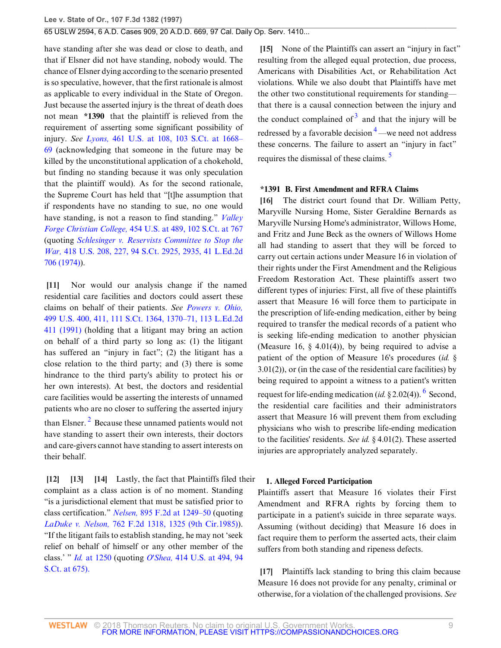have standing after she was dead or close to death, and that if Elsner did not have standing, nobody would. The chance of Elsner dying according to the scenario presented is so speculative, however, that the first rationale is almost as applicable to every individual in the State of Oregon. Just because the asserted injury is the threat of death does not mean **\*1390** that the plaintiff is relieved from the requirement of asserting some significant possibility of injury. *See Lyons,* [461 U.S. at 108, 103 S.Ct. at 1668–](http://www.westlaw.com/Link/Document/FullText?findType=Y&serNum=1983118235&pubNum=708&originatingDoc=I76af26ec941311d9bdd1cfdd544ca3a4&refType=RP&fi=co_pp_sp_708_1668&originationContext=document&vr=3.0&rs=cblt1.0&transitionType=DocumentItem&contextData=(sc.Search)#co_pp_sp_708_1668) [69](http://www.westlaw.com/Link/Document/FullText?findType=Y&serNum=1983118235&pubNum=708&originatingDoc=I76af26ec941311d9bdd1cfdd544ca3a4&refType=RP&fi=co_pp_sp_708_1668&originationContext=document&vr=3.0&rs=cblt1.0&transitionType=DocumentItem&contextData=(sc.Search)#co_pp_sp_708_1668) (acknowledging that someone in the future may be killed by the unconstitutional application of a chokehold, but finding no standing because it was only speculation that the plaintiff would). As for the second rationale, the Supreme Court has held that "[t]he assumption that if respondents have no standing to sue, no one would have standing, is not a reason to find standing." *[Valley](http://www.westlaw.com/Link/Document/FullText?findType=Y&serNum=1982102020&pubNum=708&originatingDoc=I76af26ec941311d9bdd1cfdd544ca3a4&refType=RP&fi=co_pp_sp_708_767&originationContext=document&vr=3.0&rs=cblt1.0&transitionType=DocumentItem&contextData=(sc.Search)#co_pp_sp_708_767) Forge Christian College,* [454 U.S. at 489, 102 S.Ct. at 767](http://www.westlaw.com/Link/Document/FullText?findType=Y&serNum=1982102020&pubNum=708&originatingDoc=I76af26ec941311d9bdd1cfdd544ca3a4&refType=RP&fi=co_pp_sp_708_767&originationContext=document&vr=3.0&rs=cblt1.0&transitionType=DocumentItem&contextData=(sc.Search)#co_pp_sp_708_767) (quoting *[Schlesinger v. Reservists Committee to Stop the](http://www.westlaw.com/Link/Document/FullText?findType=Y&serNum=1974127245&pubNum=708&originatingDoc=I76af26ec941311d9bdd1cfdd544ca3a4&refType=RP&fi=co_pp_sp_708_2935&originationContext=document&vr=3.0&rs=cblt1.0&transitionType=DocumentItem&contextData=(sc.Search)#co_pp_sp_708_2935) War,* [418 U.S. 208, 227, 94 S.Ct. 2925, 2935, 41 L.Ed.2d](http://www.westlaw.com/Link/Document/FullText?findType=Y&serNum=1974127245&pubNum=708&originatingDoc=I76af26ec941311d9bdd1cfdd544ca3a4&refType=RP&fi=co_pp_sp_708_2935&originationContext=document&vr=3.0&rs=cblt1.0&transitionType=DocumentItem&contextData=(sc.Search)#co_pp_sp_708_2935) [706 \(1974\)](http://www.westlaw.com/Link/Document/FullText?findType=Y&serNum=1974127245&pubNum=708&originatingDoc=I76af26ec941311d9bdd1cfdd544ca3a4&refType=RP&fi=co_pp_sp_708_2935&originationContext=document&vr=3.0&rs=cblt1.0&transitionType=DocumentItem&contextData=(sc.Search)#co_pp_sp_708_2935)).

<span id="page-8-0"></span>**[\[11](#page-2-3)]** Nor would our analysis change if the named residential care facilities and doctors could assert these claims on behalf of their patients. *See [Powers v. Ohio,](http://www.westlaw.com/Link/Document/FullText?findType=Y&serNum=1991062987&pubNum=708&originatingDoc=I76af26ec941311d9bdd1cfdd544ca3a4&refType=RP&fi=co_pp_sp_708_1370&originationContext=document&vr=3.0&rs=cblt1.0&transitionType=DocumentItem&contextData=(sc.Search)#co_pp_sp_708_1370)* [499 U.S. 400, 411, 111 S.Ct. 1364, 1370–71, 113 L.Ed.2d](http://www.westlaw.com/Link/Document/FullText?findType=Y&serNum=1991062987&pubNum=708&originatingDoc=I76af26ec941311d9bdd1cfdd544ca3a4&refType=RP&fi=co_pp_sp_708_1370&originationContext=document&vr=3.0&rs=cblt1.0&transitionType=DocumentItem&contextData=(sc.Search)#co_pp_sp_708_1370) [411 \(1991\)](http://www.westlaw.com/Link/Document/FullText?findType=Y&serNum=1991062987&pubNum=708&originatingDoc=I76af26ec941311d9bdd1cfdd544ca3a4&refType=RP&fi=co_pp_sp_708_1370&originationContext=document&vr=3.0&rs=cblt1.0&transitionType=DocumentItem&contextData=(sc.Search)#co_pp_sp_708_1370) (holding that a litigant may bring an action on behalf of a third party so long as: (1) the litigant has suffered an "injury in fact"; (2) the litigant has a close relation to the third party; and (3) there is some hindrance to the third party's ability to protect his or her own interests). At best, the doctors and residential care facilities would be asserting the interests of unnamed patients who are no closer to suffering the asserted injury than Elsner.<sup>[2](#page-14-2)</sup> Because these unnamed patients would not have standing to assert their own interests, their doctors and care-givers cannot have standing to assert interests on their behalf.

<span id="page-8-7"></span><span id="page-8-3"></span><span id="page-8-2"></span><span id="page-8-1"></span>**[\[12](#page-2-4)] [\[13](#page-3-0)] [\[14](#page-3-1)]** Lastly, the fact that Plaintiffs filed their complaint as a class action is of no moment. Standing "is a jurisdictional element that must be satisfied prior to class certification." *Nelsen,* [895 F.2d at 1249–50](http://www.westlaw.com/Link/Document/FullText?findType=Y&serNum=1990033627&pubNum=350&originatingDoc=I76af26ec941311d9bdd1cfdd544ca3a4&refType=RP&fi=co_pp_sp_350_1249&originationContext=document&vr=3.0&rs=cblt1.0&transitionType=DocumentItem&contextData=(sc.Search)#co_pp_sp_350_1249) (quoting *LaDuke v. Nelson,* [762 F.2d 1318, 1325 \(9th Cir.1985\)\)](http://www.westlaw.com/Link/Document/FullText?findType=Y&serNum=1985129129&pubNum=350&originatingDoc=I76af26ec941311d9bdd1cfdd544ca3a4&refType=RP&fi=co_pp_sp_350_1325&originationContext=document&vr=3.0&rs=cblt1.0&transitionType=DocumentItem&contextData=(sc.Search)#co_pp_sp_350_1325). "If the litigant fails to establish standing, he may not 'seek relief on behalf of himself or any other member of the class.' " *Id.* [at 1250](http://www.westlaw.com/Link/Document/FullText?findType=Y&serNum=1990033627&originatingDoc=I76af26ec941311d9bdd1cfdd544ca3a4&refType=RP&originationContext=document&vr=3.0&rs=cblt1.0&transitionType=DocumentItem&contextData=(sc.Search)) (quoting *O'Shea,* [414 U.S. at 494, 94](http://www.westlaw.com/Link/Document/FullText?findType=Y&serNum=1974127107&pubNum=708&originatingDoc=I76af26ec941311d9bdd1cfdd544ca3a4&refType=RP&fi=co_pp_sp_708_675&originationContext=document&vr=3.0&rs=cblt1.0&transitionType=DocumentItem&contextData=(sc.Search)#co_pp_sp_708_675) [S.Ct. at 675\).](http://www.westlaw.com/Link/Document/FullText?findType=Y&serNum=1974127107&pubNum=708&originatingDoc=I76af26ec941311d9bdd1cfdd544ca3a4&refType=RP&fi=co_pp_sp_708_675&originationContext=document&vr=3.0&rs=cblt1.0&transitionType=DocumentItem&contextData=(sc.Search)#co_pp_sp_708_675)

<span id="page-8-8"></span><span id="page-8-4"></span>**[\[15](#page-3-2)]** None of the Plaintiffs can assert an "injury in fact" resulting from the alleged equal protection, due process, Americans with Disabilities Act, or Rehabilitation Act violations. While we also doubt that Plaintiffs have met the other two constitutional requirements for standing that there is a causal connection between the injury and the conduct complained of  $3$  and that the injury will be redressed by a favorable decision  $4$ —we need not address these concerns. The failure to assert an "injury in fact" requires the dismissal of these claims. [5](#page-15-2)

#### <span id="page-8-10"></span><span id="page-8-9"></span><span id="page-8-5"></span>**\*1391 B. First Amendment and RFRA Claims**

**[\[16](#page-3-3)]** The district court found that Dr. William Petty, Maryville Nursing Home, Sister Geraldine Bernards as Maryville Nursing Home's administrator, Willows Home, and Fritz and June Beck as the owners of Willows Home all had standing to assert that they will be forced to carry out certain actions under Measure 16 in violation of their rights under the First Amendment and the Religious Freedom Restoration Act. These plaintiffs assert two different types of injuries: First, all five of these plaintiffs assert that Measure 16 will force them to participate in the prescription of life-ending medication, either by being required to transfer the medical records of a patient who is seeking life-ending medication to another physician (Measure 16,  $\S$  4.01(4)), by being required to advise a patient of the option of Measure 16's procedures (*id.* § 3.01(2)), or (in the case of the residential care facilities) by being required to appoint a witness to a patient's written request for life-ending medication (*id.* § 2.02(4)). <sup>[6](#page-15-3)</sup> Second, the residential care facilities and their administrators assert that Measure 16 will prevent them from excluding physicians who wish to prescribe life-ending medication to the facilities' residents. *See id.* § 4.01(2). These asserted injuries are appropriately analyzed separately.

### <span id="page-8-11"></span>**1. Alleged Forced Participation**

Plaintiffs assert that Measure 16 violates their First Amendment and RFRA rights by forcing them to participate in a patient's suicide in three separate ways. Assuming (without deciding) that Measure 16 does in fact require them to perform the asserted acts, their claim suffers from both standing and ripeness defects.

<span id="page-8-6"></span>**[\[17](#page-3-4)]** Plaintiffs lack standing to bring this claim because Measure 16 does not provide for any penalty, criminal or otherwise, for a violation of the challenged provisions. *See*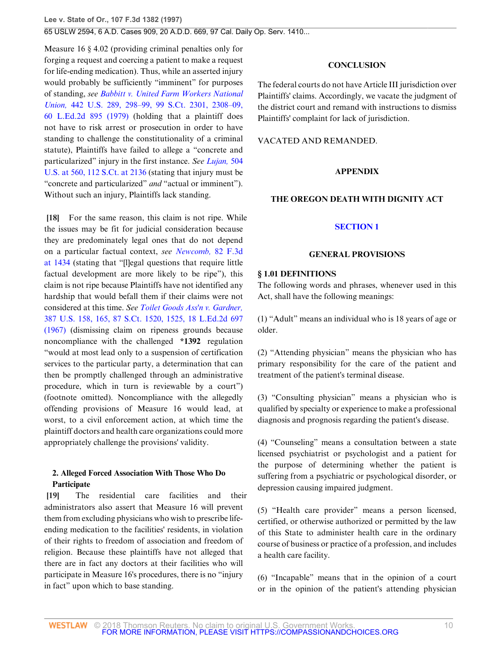Measure 16 § 4.02 (providing criminal penalties only for forging a request and coercing a patient to make a request for life-ending medication). Thus, while an asserted injury would probably be sufficiently "imminent" for purposes of standing, *see [Babbitt v. United Farm Workers National](http://www.westlaw.com/Link/Document/FullText?findType=Y&serNum=1979135135&pubNum=708&originatingDoc=I76af26ec941311d9bdd1cfdd544ca3a4&refType=RP&fi=co_pp_sp_708_2308&originationContext=document&vr=3.0&rs=cblt1.0&transitionType=DocumentItem&contextData=(sc.Search)#co_pp_sp_708_2308) Union,* [442 U.S. 289, 298–99, 99 S.Ct. 2301, 2308–09,](http://www.westlaw.com/Link/Document/FullText?findType=Y&serNum=1979135135&pubNum=708&originatingDoc=I76af26ec941311d9bdd1cfdd544ca3a4&refType=RP&fi=co_pp_sp_708_2308&originationContext=document&vr=3.0&rs=cblt1.0&transitionType=DocumentItem&contextData=(sc.Search)#co_pp_sp_708_2308) [60 L.Ed.2d 895 \(1979\)](http://www.westlaw.com/Link/Document/FullText?findType=Y&serNum=1979135135&pubNum=708&originatingDoc=I76af26ec941311d9bdd1cfdd544ca3a4&refType=RP&fi=co_pp_sp_708_2308&originationContext=document&vr=3.0&rs=cblt1.0&transitionType=DocumentItem&contextData=(sc.Search)#co_pp_sp_708_2308) (holding that a plaintiff does not have to risk arrest or prosecution in order to have standing to challenge the constitutionality of a criminal statute), Plaintiffs have failed to allege a "concrete and particularized" injury in the first instance. *See [Lujan,](http://www.westlaw.com/Link/Document/FullText?findType=Y&serNum=1992106162&pubNum=708&originatingDoc=I76af26ec941311d9bdd1cfdd544ca3a4&refType=RP&fi=co_pp_sp_708_2136&originationContext=document&vr=3.0&rs=cblt1.0&transitionType=DocumentItem&contextData=(sc.Search)#co_pp_sp_708_2136)* 504 [U.S. at 560, 112 S.Ct. at 2136](http://www.westlaw.com/Link/Document/FullText?findType=Y&serNum=1992106162&pubNum=708&originatingDoc=I76af26ec941311d9bdd1cfdd544ca3a4&refType=RP&fi=co_pp_sp_708_2136&originationContext=document&vr=3.0&rs=cblt1.0&transitionType=DocumentItem&contextData=(sc.Search)#co_pp_sp_708_2136) (stating that injury must be "concrete and particularized" *and* "actual or imminent"). Without such an injury, Plaintiffs lack standing.

<span id="page-9-0"></span>**[\[18](#page-3-5)]** For the same reason, this claim is not ripe. While the issues may be fit for judicial consideration because they are predominately legal ones that do not depend on a particular factual context, *see [Newcomb,](http://www.westlaw.com/Link/Document/FullText?findType=Y&serNum=1996104040&pubNum=506&originatingDoc=I76af26ec941311d9bdd1cfdd544ca3a4&refType=RP&fi=co_pp_sp_506_1434&originationContext=document&vr=3.0&rs=cblt1.0&transitionType=DocumentItem&contextData=(sc.Search)#co_pp_sp_506_1434)* 82 F.3d [at 1434](http://www.westlaw.com/Link/Document/FullText?findType=Y&serNum=1996104040&pubNum=506&originatingDoc=I76af26ec941311d9bdd1cfdd544ca3a4&refType=RP&fi=co_pp_sp_506_1434&originationContext=document&vr=3.0&rs=cblt1.0&transitionType=DocumentItem&contextData=(sc.Search)#co_pp_sp_506_1434) (stating that "[l]egal questions that require little factual development are more likely to be ripe"), this claim is not ripe because Plaintiffs have not identified any hardship that would befall them if their claims were not considered at this time. *See [Toilet Goods Ass'n v. Gardner,](http://www.westlaw.com/Link/Document/FullText?findType=Y&serNum=1967106042&pubNum=708&originatingDoc=I76af26ec941311d9bdd1cfdd544ca3a4&refType=RP&fi=co_pp_sp_708_1525&originationContext=document&vr=3.0&rs=cblt1.0&transitionType=DocumentItem&contextData=(sc.Search)#co_pp_sp_708_1525)* [387 U.S. 158, 165, 87 S.Ct. 1520, 1525, 18 L.Ed.2d 697](http://www.westlaw.com/Link/Document/FullText?findType=Y&serNum=1967106042&pubNum=708&originatingDoc=I76af26ec941311d9bdd1cfdd544ca3a4&refType=RP&fi=co_pp_sp_708_1525&originationContext=document&vr=3.0&rs=cblt1.0&transitionType=DocumentItem&contextData=(sc.Search)#co_pp_sp_708_1525) [\(1967\)](http://www.westlaw.com/Link/Document/FullText?findType=Y&serNum=1967106042&pubNum=708&originatingDoc=I76af26ec941311d9bdd1cfdd544ca3a4&refType=RP&fi=co_pp_sp_708_1525&originationContext=document&vr=3.0&rs=cblt1.0&transitionType=DocumentItem&contextData=(sc.Search)#co_pp_sp_708_1525) (dismissing claim on ripeness grounds because noncompliance with the challenged **\*1392** regulation "would at most lead only to a suspension of certification services to the particular party, a determination that can then be promptly challenged through an administrative procedure, which in turn is reviewable by a court") (footnote omitted). Noncompliance with the allegedly offending provisions of Measure 16 would lead, at worst, to a civil enforcement action, at which time the plaintiff doctors and health care organizations could more appropriately challenge the provisions' validity.

# **2. Alleged Forced Association With Those Who Do Participate**

<span id="page-9-1"></span>**[\[19](#page-4-0)]** The residential care facilities and their administrators also assert that Measure 16 will prevent them from excluding physicians who wish to prescribe lifeending medication to the facilities' residents, in violation of their rights to freedom of association and freedom of religion. Because these plaintiffs have not alleged that there are in fact any doctors at their facilities who will participate in Measure 16's procedures, there is no "injury in fact" upon which to base standing.

# **CONCLUSION**

The federal courts do not have Article III jurisdiction over Plaintiffs' claims. Accordingly, we vacate the judgment of the district court and remand with instructions to dismiss Plaintiffs' complaint for lack of jurisdiction.

## VACATED AND REMANDED.

# **APPENDIX**

## **THE OREGON DEATH WITH DIGNITY ACT**

# **[SECTION 1](http://www.westlaw.com/Link/Document/FullText?findType=L&pubNum=1000546&cite=USCOARTIIIS1&originatingDoc=I76af26ec941311d9bdd1cfdd544ca3a4&refType=LQ&originationContext=document&vr=3.0&rs=cblt1.0&transitionType=DocumentItem&contextData=(sc.Search))**

## **GENERAL PROVISIONS**

## **§ 1.01 DEFINITIONS**

The following words and phrases, whenever used in this Act, shall have the following meanings:

(1) "Adult" means an individual who is 18 years of age or older.

(2) "Attending physician" means the physician who has primary responsibility for the care of the patient and treatment of the patient's terminal disease.

(3) "Consulting physician" means a physician who is qualified by specialty or experience to make a professional diagnosis and prognosis regarding the patient's disease.

(4) "Counseling" means a consultation between a state licensed psychiatrist or psychologist and a patient for the purpose of determining whether the patient is suffering from a psychiatric or psychological disorder, or depression causing impaired judgment.

(5) "Health care provider" means a person licensed, certified, or otherwise authorized or permitted by the law of this State to administer health care in the ordinary course of business or practice of a profession, and includes a health care facility.

(6) "Incapable" means that in the opinion of a court or in the opinion of the patient's attending physician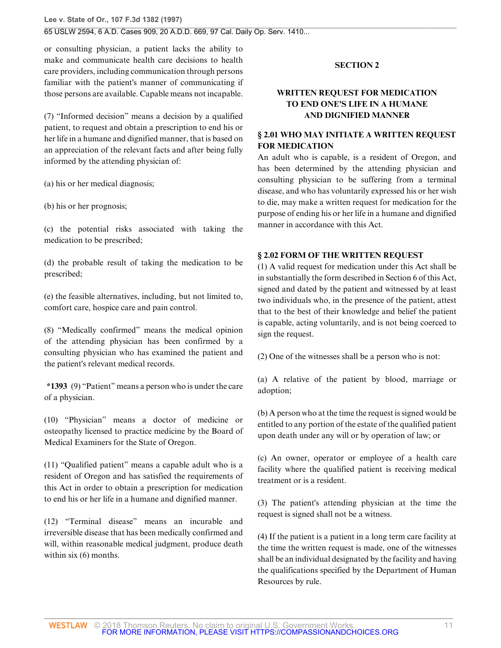**Lee v. State of Or., 107 F.3d 1382 (1997)**

## 65 USLW 2594, 6 A.D. Cases 909, 20 A.D.D. 669, 97 Cal. Daily Op. Serv. 1410...

or consulting physician, a patient lacks the ability to make and communicate health care decisions to health care providers, including communication through persons familiar with the patient's manner of communicating if those persons are available. Capable means not incapable.

(7) "Informed decision" means a decision by a qualified patient, to request and obtain a prescription to end his or her life in a humane and dignified manner, that is based on an appreciation of the relevant facts and after being fully informed by the attending physician of:

(a) his or her medical diagnosis;

(b) his or her prognosis;

(c) the potential risks associated with taking the medication to be prescribed;

(d) the probable result of taking the medication to be prescribed;

(e) the feasible alternatives, including, but not limited to, comfort care, hospice care and pain control.

(8) "Medically confirmed" means the medical opinion of the attending physician has been confirmed by a consulting physician who has examined the patient and the patient's relevant medical records.

**\*1393** (9) "Patient" means a person who is under the care of a physician.

(10) "Physician" means a doctor of medicine or osteopathy licensed to practice medicine by the Board of Medical Examiners for the State of Oregon.

(11) "Qualified patient" means a capable adult who is a resident of Oregon and has satisfied the requirements of this Act in order to obtain a prescription for medication to end his or her life in a humane and dignified manner.

(12) "Terminal disease" means an incurable and irreversible disease that has been medically confirmed and will, within reasonable medical judgment, produce death within six  $(6)$  months.

## **SECTION 2**

# **WRITTEN REQUEST FOR MEDICATION TO END ONE'S LIFE IN A HUMANE AND DIGNIFIED MANNER**

# **§ 2.01 WHO MAY INITIATE A WRITTEN REQUEST FOR MEDICATION**

An adult who is capable, is a resident of Oregon, and has been determined by the attending physician and consulting physician to be suffering from a terminal disease, and who has voluntarily expressed his or her wish to die, may make a written request for medication for the purpose of ending his or her life in a humane and dignified manner in accordance with this Act.

## **§ 2.02 FORM OF THE WRITTEN REQUEST**

(1) A valid request for medication under this Act shall be in substantially the form described in Section 6 of this Act, signed and dated by the patient and witnessed by at least two individuals who, in the presence of the patient, attest that to the best of their knowledge and belief the patient is capable, acting voluntarily, and is not being coerced to sign the request.

(2) One of the witnesses shall be a person who is not:

(a) A relative of the patient by blood, marriage or adoption;

(b) A person who at the time the request is signed would be entitled to any portion of the estate of the qualified patient upon death under any will or by operation of law; or

(c) An owner, operator or employee of a health care facility where the qualified patient is receiving medical treatment or is a resident.

(3) The patient's attending physician at the time the request is signed shall not be a witness.

(4) If the patient is a patient in a long term care facility at the time the written request is made, one of the witnesses shall be an individual designated by the facility and having the qualifications specified by the Department of Human Resources by rule.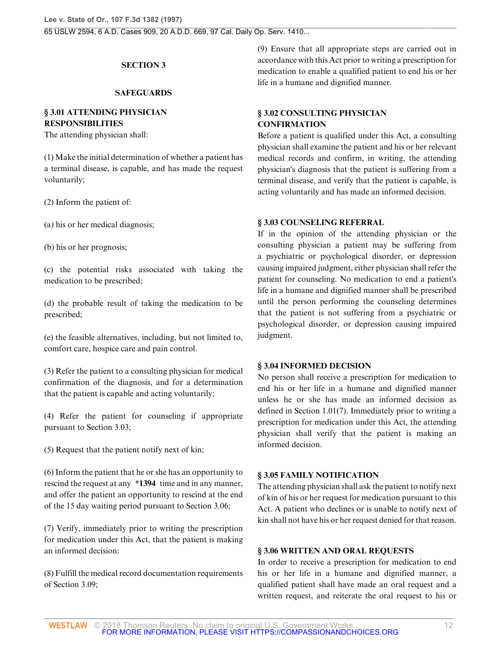# **SECTION 3**

### **SAFEGUARDS**

# **§ 3.01 ATTENDING PHYSICIAN RESPONSIBILITIES**

The attending physician shall:

(1) Make the initial determination of whether a patient has a terminal disease, is capable, and has made the request voluntarily;

(2) Inform the patient of:

(a) his or her medical diagnosis;

(b) his or her prognosis;

(c) the potential risks associated with taking the medication to be prescribed;

(d) the probable result of taking the medication to be prescribed;

(e) the feasible alternatives, including, but not limited to, comfort care, hospice care and pain control.

(3) Refer the patient to a consulting physician for medical confirmation of the diagnosis, and for a determination that the patient is capable and acting voluntarily;

(4) Refer the patient for counseling if appropriate pursuant to Section 3.03;

(5) Request that the patient notify next of kin;

(6) Inform the patient that he or she has an opportunity to rescind the request at any **\*1394** time and in any manner, and offer the patient an opportunity to rescind at the end of the 15 day waiting period pursuant to Section 3.06;

(7) Verify, immediately prior to writing the prescription for medication under this Act, that the patient is making an informed decision:

(8) Fulfill the medical record documentation requirements of Section 3.09;

(9) Ensure that all appropriate steps are carried out in accordance with this Act prior to writing a prescription for medication to enable a qualified patient to end his or her life in a humane and dignified manner.

# **§ 3.02 CONSULTING PHYSICIAN CONFIRMATION**

Before a patient is qualified under this Act, a consulting physician shall examine the patient and his or her relevant medical records and confirm, in writing, the attending physician's diagnosis that the patient is suffering from a terminal disease, and verify that the patient is capable, is acting voluntarily and has made an informed decision.

## **§ 3.03 COUNSELING REFERRAL**

If in the opinion of the attending physician or the consulting physician a patient may be suffering from a psychiatric or psychological disorder, or depression causing impaired judgment, either physician shall refer the patient for counseling. No medication to end a patient's life in a humane and dignified manner shall be prescribed until the person performing the counseling determines that the patient is not suffering from a psychiatric or psychological disorder, or depression causing impaired judgment.

## **§ 3.04 INFORMED DECISION**

No person shall receive a prescription for medication to end his or her life in a humane and dignified manner unless he or she has made an informed decision as defined in Section 1.01(7). Immediately prior to writing a prescription for medication under this Act, the attending physician shall verify that the patient is making an informed decision.

## **§ 3.05 FAMILY NOTIFICATION**

The attending physician shall ask the patient to notify next of kin of his or her request for medication pursuant to this Act. A patient who declines or is unable to notify next of kin shall not have his or her request denied for that reason.

## **§ 3.06 WRITTEN AND ORAL REQUESTS**

In order to receive a prescription for medication to end his or her life in a humane and dignified manner, a qualified patient shall have made an oral request and a written request, and reiterate the oral request to his or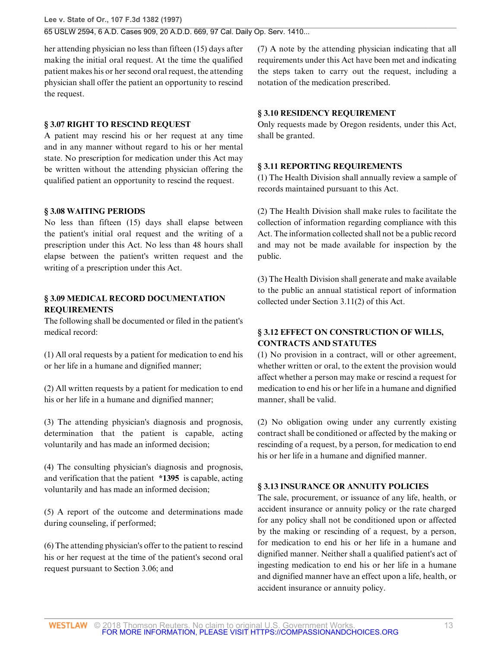**Lee v. State of Or., 107 F.3d 1382 (1997)** 65 USLW 2594, 6 A.D. Cases 909, 20 A.D.D. 669, 97 Cal. Daily Op. Serv. 1410...

her attending physician no less than fifteen (15) days after making the initial oral request. At the time the qualified patient makes his or her second oral request, the attending physician shall offer the patient an opportunity to rescind the request.

# **§ 3.07 RIGHT TO RESCIND REQUEST**

A patient may rescind his or her request at any time and in any manner without regard to his or her mental state. No prescription for medication under this Act may be written without the attending physician offering the qualified patient an opportunity to rescind the request.

# **§ 3.08 WAITING PERIODS**

No less than fifteen (15) days shall elapse between the patient's initial oral request and the writing of a prescription under this Act. No less than 48 hours shall elapse between the patient's written request and the writing of a prescription under this Act.

# **§ 3.09 MEDICAL RECORD DOCUMENTATION REQUIREMENTS**

The following shall be documented or filed in the patient's medical record:

(1) All oral requests by a patient for medication to end his or her life in a humane and dignified manner;

(2) All written requests by a patient for medication to end his or her life in a humane and dignified manner;

(3) The attending physician's diagnosis and prognosis, determination that the patient is capable, acting voluntarily and has made an informed decision;

(4) The consulting physician's diagnosis and prognosis, and verification that the patient **\*1395** is capable, acting voluntarily and has made an informed decision;

(5) A report of the outcome and determinations made during counseling, if performed;

(6) The attending physician's offer to the patient to rescind his or her request at the time of the patient's second oral request pursuant to Section 3.06; and

(7) A note by the attending physician indicating that all requirements under this Act have been met and indicating the steps taken to carry out the request, including a notation of the medication prescribed.

## **§ 3.10 RESIDENCY REQUIREMENT**

Only requests made by Oregon residents, under this Act, shall be granted.

## **§ 3.11 REPORTING REQUIREMENTS**

(1) The Health Division shall annually review a sample of records maintained pursuant to this Act.

(2) The Health Division shall make rules to facilitate the collection of information regarding compliance with this Act. The information collected shall not be a public record and may not be made available for inspection by the public.

(3) The Health Division shall generate and make available to the public an annual statistical report of information collected under Section 3.11(2) of this Act.

# **§ 3.12 EFFECT ON CONSTRUCTION OF WILLS, CONTRACTS AND STATUTES**

(1) No provision in a contract, will or other agreement, whether written or oral, to the extent the provision would affect whether a person may make or rescind a request for medication to end his or her life in a humane and dignified manner, shall be valid.

(2) No obligation owing under any currently existing contract shall be conditioned or affected by the making or rescinding of a request, by a person, for medication to end his or her life in a humane and dignified manner.

# **§ 3.13 INSURANCE OR ANNUITY POLICIES**

The sale, procurement, or issuance of any life, health, or accident insurance or annuity policy or the rate charged for any policy shall not be conditioned upon or affected by the making or rescinding of a request, by a person, for medication to end his or her life in a humane and dignified manner. Neither shall a qualified patient's act of ingesting medication to end his or her life in a humane and dignified manner have an effect upon a life, health, or accident insurance or annuity policy.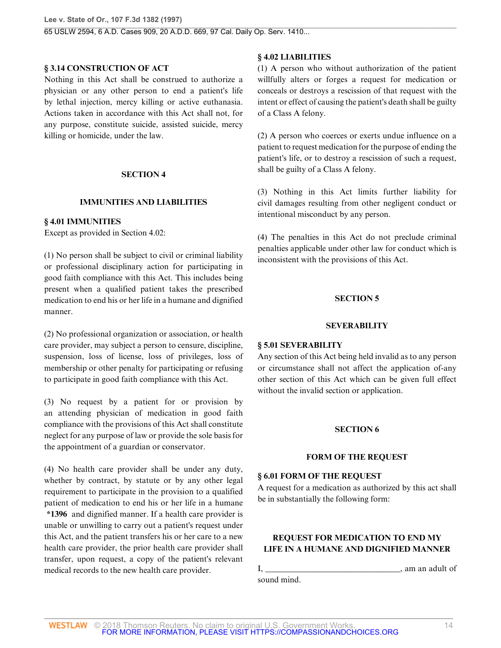## **§ 3.14 CONSTRUCTION OF ACT**

Nothing in this Act shall be construed to authorize a physician or any other person to end a patient's life by lethal injection, mercy killing or active euthanasia. Actions taken in accordance with this Act shall not, for any purpose, constitute suicide, assisted suicide, mercy killing or homicide, under the law.

## **SECTION 4**

# **IMMUNITIES AND LIABILITIES**

## **§ 4.01 IMMUNITIES**

Except as provided in Section 4.02:

(1) No person shall be subject to civil or criminal liability or professional disciplinary action for participating in good faith compliance with this Act. This includes being present when a qualified patient takes the prescribed medication to end his or her life in a humane and dignified manner.

(2) No professional organization or association, or health care provider, may subject a person to censure, discipline, suspension, loss of license, loss of privileges, loss of membership or other penalty for participating or refusing to participate in good faith compliance with this Act.

(3) No request by a patient for or provision by an attending physician of medication in good faith compliance with the provisions of this Act shall constitute neglect for any purpose of law or provide the sole basis for the appointment of a guardian or conservator.

(4) No health care provider shall be under any duty, whether by contract, by statute or by any other legal requirement to participate in the provision to a qualified patient of medication to end his or her life in a humane **\*1396** and dignified manner. If a health care provider is unable or unwilling to carry out a patient's request under this Act, and the patient transfers his or her care to a new health care provider, the prior health care provider shall transfer, upon request, a copy of the patient's relevant medical records to the new health care provider.

# **§ 4.02 LIABILITIES**

(1) A person who without authorization of the patient willfully alters or forges a request for medication or conceals or destroys a rescission of that request with the intent or effect of causing the patient's death shall be guilty of a Class A felony.

(2) A person who coerces or exerts undue influence on a patient to request medication for the purpose of ending the patient's life, or to destroy a rescission of such a request, shall be guilty of a Class A felony.

(3) Nothing in this Act limits further liability for civil damages resulting from other negligent conduct or intentional misconduct by any person.

(4) The penalties in this Act do not preclude criminal penalties applicable under other law for conduct which is inconsistent with the provisions of this Act.

# **SECTION 5**

# **SEVERABILITY**

## **§ 5.01 SEVERABILITY**

Any section of this Act being held invalid as to any person or circumstance shall not affect the application of-any other section of this Act which can be given full effect without the invalid section or application.

# **SECTION 6**

# **FORM OF THE REQUEST**

## **§ 6.01 FORM OF THE REQUEST**

A request for a medication as authorized by this act shall be in substantially the following form:

# **REQUEST FOR MEDICATION TO END MY LIFE IN A HUMANE AND DIGNIFIED MANNER**

sound mind.

I, \_\_\_\_\_\_\_\_\_\_\_\_\_\_\_\_\_\_\_\_\_\_\_\_\_\_\_\_\_\_\_\_\_, am an adult of

© 2018 Thomson Reuters. No claim to original U.S. Government Works. 14 FOR MORE INFORMATION, PLEASE VISIT HTTPS://COMPASSIONANDCHOICES.ORG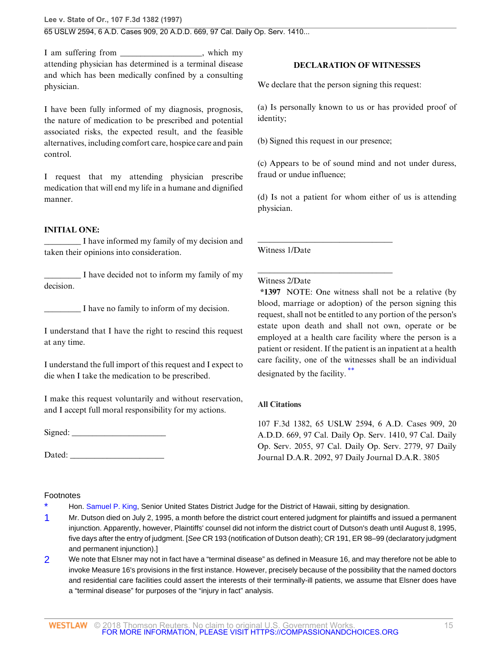I am suffering from \_\_\_\_\_\_\_\_\_\_\_\_\_\_\_, which my attending physician has determined is a terminal disease and which has been medically confined by a consulting physician.

I have been fully informed of my diagnosis, prognosis, the nature of medication to be prescribed and potential associated risks, the expected result, and the feasible alternatives, including comfort care, hospice care and pain control.

I request that my attending physician prescribe medication that will end my life in a humane and dignified manner.

# **INITIAL ONE:**

\_\_\_\_\_\_\_\_\_ I have informed my family of my decision and taken their opinions into consideration.

\_\_\_\_\_\_\_\_\_ I have decided not to inform my family of my decision.

I have no family to inform of my decision.

I understand that I have the right to rescind this request at any time.

I understand the full import of this request and I expect to die when I take the medication to be prescribed.

I make this request voluntarily and without reservation, and I accept full moral responsibility for my actions.

 $Signed:$ 

Dated:

# <span id="page-14-0"></span>Footnotes

Hon. [Samuel P. King,](http://www.westlaw.com/Link/Document/FullText?findType=h&pubNum=176284&cite=0226859501&originatingDoc=I76af26ec941311d9bdd1cfdd544ca3a4&refType=RQ&originationContext=document&vr=3.0&rs=cblt1.0&transitionType=DocumentItem&contextData=(sc.Search)) Senior United States District Judge for the District of Hawaii, sitting by designation.

- <span id="page-14-1"></span>[1](#page-5-3) Mr. Dutson died on July 2, 1995, a month before the district court entered judgment for plaintiffs and issued a permanent injunction. Apparently, however, Plaintiffs' counsel did not inform the district court of Dutson's death until August 8, 1995, five days after the entry of judgment. [See CR 193 (notification of Dutson death); CR 191, ER 98–99 (declaratory judgment and permanent injunction).]
- <span id="page-14-2"></span>[2](#page-8-7) We note that Elsner may not in fact have a "terminal disease" as defined in Measure 16, and may therefore not be able to invoke Measure 16's provisions in the first instance. However, precisely because of the possibility that the named doctors and residential care facilities could assert the interests of their terminally-ill patients, we assume that Elsner does have a "terminal disease" for purposes of the "injury in fact" analysis.

# **DECLARATION OF WITNESSES**

We declare that the person signing this request:

(a) Is personally known to us or has provided proof of identity;

(b) Signed this request in our presence;

\_\_\_\_\_\_\_\_\_\_\_\_\_\_\_\_\_\_\_\_\_\_\_\_\_\_\_\_\_\_\_\_\_

\_\_\_\_\_\_\_\_\_\_\_\_\_\_\_\_\_\_\_\_\_\_\_\_\_\_\_\_\_\_\_\_\_

(c) Appears to be of sound mind and not under duress, fraud or undue influence;

(d) Is not a patient for whom either of us is attending physician.

Witness 1/Date

# Witness 2/Date

**\*1397** NOTE: One witness shall not be a relative (by blood, marriage or adoption) of the person signing this request, shall not be entitled to any portion of the person's estate upon death and shall not own, operate or be employed at a health care facility where the person is a patient or resident. If the patient is an inpatient at a health care facility, one of the witnesses shall be an individual designated by the facility. [\\*\\*](#page-15-4)

# <span id="page-14-3"></span>**All Citations**

107 F.3d 1382, 65 USLW 2594, 6 A.D. Cases 909, 20 A.D.D. 669, 97 Cal. Daily Op. Serv. 1410, 97 Cal. Daily Op. Serv. 2055, 97 Cal. Daily Op. Serv. 2779, 97 Daily Journal D.A.R. 2092, 97 Daily Journal D.A.R. 3805